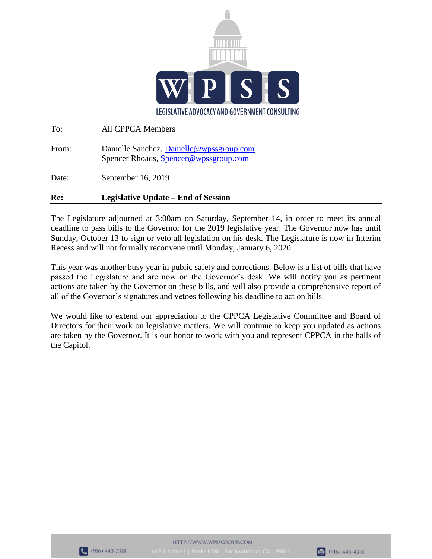

| Re:   | <b>Legislative Update – End of Session</b>                                         |
|-------|------------------------------------------------------------------------------------|
| Date: | September 16, 2019                                                                 |
| From: | Danielle Sanchez, Danielle @wpssgroup.com<br>Spencer Rhoads, Spencer@wpssgroup.com |
| To:   | <b>All CPPCA Members</b>                                                           |

The Legislature adjourned at 3:00am on Saturday, September 14, in order to meet its annual deadline to pass bills to the Governor for the 2019 legislative year. The Governor now has until Sunday, October 13 to sign or veto all legislation on his desk. The Legislature is now in Interim Recess and will not formally reconvene until Monday, January 6, 2020.

This year was another busy year in public safety and corrections. Below is a list of bills that have passed the Legislature and are now on the Governor's desk. We will notify you as pertinent actions are taken by the Governor on these bills, and will also provide a comprehensive report of all of the Governor's signatures and vetoes following his deadline to act on bills.

We would like to extend our appreciation to the CPPCA Legislative Committee and Board of Directors for their work on legislative matters. We will continue to keep you updated as actions are taken by the Governor. It is our honor to work with you and represent CPPCA in the halls of the Capitol.

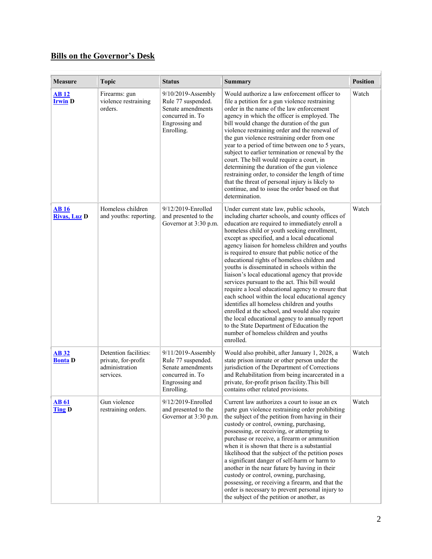## **Bills on the Governor's Desk**

| Measure                            | <b>Topic</b>                                                                | <b>Status</b>                                                                                                        | <b>Summary</b>                                                                                                                                                                                                                                                                                                                                                                                                                                                                                                                                                                                                                                                                                                                                                                                                                                                                                                        | <b>Position</b> |
|------------------------------------|-----------------------------------------------------------------------------|----------------------------------------------------------------------------------------------------------------------|-----------------------------------------------------------------------------------------------------------------------------------------------------------------------------------------------------------------------------------------------------------------------------------------------------------------------------------------------------------------------------------------------------------------------------------------------------------------------------------------------------------------------------------------------------------------------------------------------------------------------------------------------------------------------------------------------------------------------------------------------------------------------------------------------------------------------------------------------------------------------------------------------------------------------|-----------------|
| <b>AB</b> 12<br><b>Irwin</b> D     | Firearms: gun<br>violence restraining<br>orders.                            | $9/10/2019$ -Assembly<br>Rule 77 suspended.<br>Senate amendments<br>concurred in. To<br>Engrossing and<br>Enrolling. | Would authorize a law enforcement officer to<br>file a petition for a gun violence restraining<br>order in the name of the law enforcement<br>agency in which the officer is employed. The<br>bill would change the duration of the gun<br>violence restraining order and the renewal of<br>the gun violence restraining order from one<br>year to a period of time between one to 5 years,<br>subject to earlier termination or renewal by the<br>court. The bill would require a court, in<br>determining the duration of the gun violence<br>restraining order, to consider the length of time<br>that the threat of personal injury is likely to<br>continue, and to issue the order based on that<br>determination.                                                                                                                                                                                              | Watch           |
| <b>AB16</b><br><b>Rivas, Luz D</b> | Homeless children<br>and youths: reporting.                                 | 9/12/2019-Enrolled<br>and presented to the<br>Governor at 3:30 p.m.                                                  | Under current state law, public schools,<br>including charter schools, and county offices of<br>education are required to immediately enroll a<br>homeless child or youth seeking enrollment,<br>except as specified, and a local educational<br>agency liaison for homeless children and youths<br>is required to ensure that public notice of the<br>educational rights of homeless children and<br>youths is disseminated in schools within the<br>liaison's local educational agency that provide<br>services pursuant to the act. This bill would<br>require a local educational agency to ensure that<br>each school within the local educational agency<br>identifies all homeless children and youths<br>enrolled at the school, and would also require<br>the local educational agency to annually report<br>to the State Department of Education the<br>number of homeless children and youths<br>enrolled. | Watch           |
| <b>AB 32</b><br><b>Bonta</b> D     | Detention facilities:<br>private, for-profit<br>administration<br>services. | 9/11/2019-Assembly<br>Rule 77 suspended.<br>Senate amendments<br>concurred in. To<br>Engrossing and<br>Enrolling.    | Would also prohibit, after January 1, 2028, a<br>state prison inmate or other person under the<br>jurisdiction of the Department of Corrections<br>and Rehabilitation from being incarcerated in a<br>private, for-profit prison facility. This bill<br>contains other related provisions.                                                                                                                                                                                                                                                                                                                                                                                                                                                                                                                                                                                                                            | Watch           |
| <b>AB</b> 61<br><b>Ting D</b>      | Gun violence<br>restraining orders.                                         | 9/12/2019-Enrolled<br>and presented to the<br>Governor at 3:30 p.m.                                                  | Current law authorizes a court to issue an ex<br>parte gun violence restraining order prohibiting<br>the subject of the petition from having in their<br>custody or control, owning, purchasing,<br>possessing, or receiving, or attempting to<br>purchase or receive, a firearm or ammunition<br>when it is shown that there is a substantial<br>likelihood that the subject of the petition poses<br>a significant danger of self-harm or harm to<br>another in the near future by having in their<br>custody or control, owning, purchasing,<br>possessing, or receiving a firearm, and that the<br>order is necessary to prevent personal injury to<br>the subject of the petition or another, as                                                                                                                                                                                                                 | Watch           |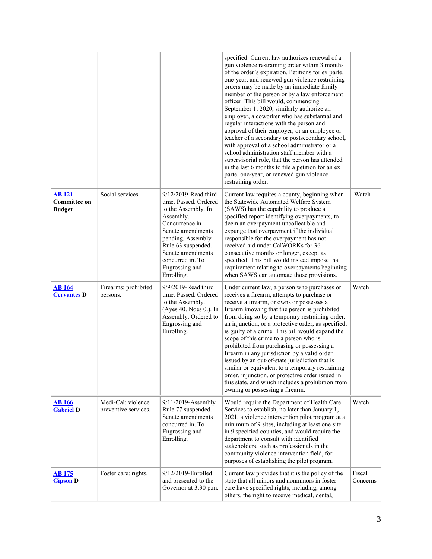|                                                      |                                            |                                                                                                                                                                                                                                              | specified. Current law authorizes renewal of a<br>gun violence restraining order within 3 months<br>of the order's expiration. Petitions for ex parte,<br>one-year, and renewed gun violence restraining<br>orders may be made by an immediate family<br>member of the person or by a law enforcement<br>officer. This bill would, commencing<br>September 1, 2020, similarly authorize an<br>employer, a coworker who has substantial and<br>regular interactions with the person and<br>approval of their employer, or an employee or<br>teacher of a secondary or postsecondary school,<br>with approval of a school administrator or a<br>school administration staff member with a<br>supervisorial role, that the person has attended<br>in the last 6 months to file a petition for an ex<br>parte, one-year, or renewed gun violence<br>restraining order. |                    |
|------------------------------------------------------|--------------------------------------------|----------------------------------------------------------------------------------------------------------------------------------------------------------------------------------------------------------------------------------------------|--------------------------------------------------------------------------------------------------------------------------------------------------------------------------------------------------------------------------------------------------------------------------------------------------------------------------------------------------------------------------------------------------------------------------------------------------------------------------------------------------------------------------------------------------------------------------------------------------------------------------------------------------------------------------------------------------------------------------------------------------------------------------------------------------------------------------------------------------------------------|--------------------|
| <b>AB121</b><br><b>Committee on</b><br><b>Budget</b> | Social services.                           | 9/12/2019-Read third<br>time. Passed. Ordered<br>to the Assembly. In<br>Assembly.<br>Concurrence in<br>Senate amendments<br>pending. Assembly<br>Rule 63 suspended.<br>Senate amendments<br>concurred in. To<br>Engrossing and<br>Enrolling. | Current law requires a county, beginning when<br>the Statewide Automated Welfare System<br>(SAWS) has the capability to produce a<br>specified report identifying overpayments, to<br>deem an overpayment uncollectible and<br>expunge that overpayment if the individual<br>responsible for the overpayment has not<br>received aid under CalWORKs for 36<br>consecutive months or longer, except as<br>specified. This bill would instead impose that<br>requirement relating to overpayments beginning<br>when SAWS can automate those provisions.                                                                                                                                                                                                                                                                                                              | Watch              |
| <b>AB</b> 164<br><b>Cervantes D</b>                  | Firearms: prohibited<br>persons.           | 9/9/2019-Read third<br>time. Passed. Ordered<br>to the Assembly.<br>(Ayes 40. Noes 0.). In<br>Assembly. Ordered to<br>Engrossing and<br>Enrolling.                                                                                           | Under current law, a person who purchases or<br>receives a firearm, attempts to purchase or<br>receive a firearm, or owns or possesses a<br>firearm knowing that the person is prohibited<br>from doing so by a temporary restraining order,<br>an injunction, or a protective order, as specified,<br>is guilty of a crime. This bill would expand the<br>scope of this crime to a person who is<br>prohibited from purchasing or possessing a<br>firearm in any jurisdiction by a valid order<br>issued by an out-of-state jurisdiction that is<br>similar or equivalent to a temporary restraining<br>order, injunction, or protective order issued in<br>this state, and which includes a prohibition from<br>owning or possessing a firearm.                                                                                                                  | Watch              |
| <b>AB</b> 166<br><b>Gabriel D</b>                    | Medi-Cal: violence<br>preventive services. | 9/11/2019-Assembly<br>Rule 77 suspended.<br>Senate amendments<br>concurred in. To<br>Engrossing and<br>Enrolling.                                                                                                                            | Would require the Department of Health Care<br>Services to establish, no later than January 1,<br>2021, a violence intervention pilot program at a<br>minimum of 9 sites, including at least one site<br>in 9 specified counties, and would require the<br>department to consult with identified<br>stakeholders, such as professionals in the<br>community violence intervention field, for<br>purposes of establishing the pilot program.                                                                                                                                                                                                                                                                                                                                                                                                                        | Watch              |
| <u>AB 175</u><br><b>Gipson</b> D                     | Foster care: rights.                       | 9/12/2019-Enrolled<br>and presented to the<br>Governor at 3:30 p.m.                                                                                                                                                                          | Current law provides that it is the policy of the<br>state that all minors and nonminors in foster<br>care have specified rights, including, among<br>others, the right to receive medical, dental,                                                                                                                                                                                                                                                                                                                                                                                                                                                                                                                                                                                                                                                                | Fiscal<br>Concerns |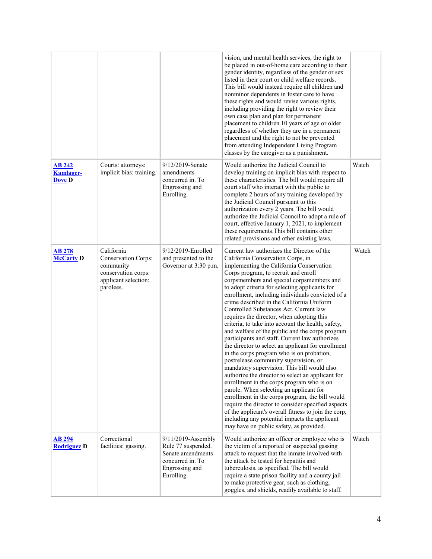|                                                    |                                                                                                                   |                                                                                                                   | vision, and mental health services, the right to<br>be placed in out-of-home care according to their<br>gender identity, regardless of the gender or sex<br>listed in their court or child welfare records.<br>This bill would instead require all children and<br>nonminor dependents in foster care to have<br>these rights and would revise various rights,<br>including providing the right to review their<br>own case plan and plan for permanent<br>placement to children 10 years of age or older<br>regardless of whether they are in a permanent<br>placement and the right to not be prevented<br>from attending Independent Living Program<br>classes by the caregiver as a punishment.                                                                                                                                                                                                                                                                                                                                                                                                                                                                                                                        |       |
|----------------------------------------------------|-------------------------------------------------------------------------------------------------------------------|-------------------------------------------------------------------------------------------------------------------|----------------------------------------------------------------------------------------------------------------------------------------------------------------------------------------------------------------------------------------------------------------------------------------------------------------------------------------------------------------------------------------------------------------------------------------------------------------------------------------------------------------------------------------------------------------------------------------------------------------------------------------------------------------------------------------------------------------------------------------------------------------------------------------------------------------------------------------------------------------------------------------------------------------------------------------------------------------------------------------------------------------------------------------------------------------------------------------------------------------------------------------------------------------------------------------------------------------------------|-------|
| <b>AB 242</b><br><b>Kamlager-</b><br><b>Dove D</b> | Courts: attorneys:<br>implicit bias: training.                                                                    | 9/12/2019-Senate<br>amendments<br>concurred in. To<br>Engrossing and<br>Enrolling.                                | Would authorize the Judicial Council to<br>develop training on implicit bias with respect to<br>these characteristics. The bill would require all<br>court staff who interact with the public to<br>complete 2 hours of any training developed by<br>the Judicial Council pursuant to this<br>authorization every 2 years. The bill would<br>authorize the Judicial Council to adopt a rule of<br>court, effective January 1, 2021, to implement<br>these requirements. This bill contains other<br>related provisions and other existing laws.                                                                                                                                                                                                                                                                                                                                                                                                                                                                                                                                                                                                                                                                            | Watch |
| <b>AB 278</b><br><b>McCarty D</b>                  | California<br><b>Conservation Corps:</b><br>community<br>conservation corps:<br>applicant selection:<br>parolees. | 9/12/2019-Enrolled<br>and presented to the<br>Governor at 3:30 p.m.                                               | Current law authorizes the Director of the<br>California Conservation Corps, in<br>implementing the California Conservation<br>Corps program, to recruit and enroll<br>corpsmembers and special corpsmembers and<br>to adopt criteria for selecting applicants for<br>enrollment, including individuals convicted of a<br>crime described in the California Uniform<br>Controlled Substances Act. Current law<br>requires the director, when adopting this<br>criteria, to take into account the health, safety,<br>and welfare of the public and the corps program<br>participants and staff. Current law authorizes<br>the director to select an applicant for enrollment<br>in the corps program who is on probation,<br>postrelease community supervision, or<br>mandatory supervision. This bill would also<br>authorize the director to select an applicant for<br>enrollment in the corps program who is on<br>parole. When selecting an applicant for<br>enrollment in the corps program, the bill would<br>require the director to consider specified aspects<br>of the applicant's overall fitness to join the corp,<br>including any potential impacts the applicant<br>may have on public safety, as provided. | Watch |
| <b>AB 294</b><br><b>Rodriguez D</b>                | Correctional<br>facilities: gassing.                                                                              | 9/11/2019-Assembly<br>Rule 77 suspended.<br>Senate amendments<br>concurred in. To<br>Engrossing and<br>Enrolling. | Would authorize an officer or employee who is<br>the victim of a reported or suspected gassing<br>attack to request that the inmate involved with<br>the attack be tested for hepatitis and<br>tuberculosis, as specified. The bill would<br>require a state prison facility and a county jail<br>to make protective gear, such as clothing,<br>goggles, and shields, readily available to staff.                                                                                                                                                                                                                                                                                                                                                                                                                                                                                                                                                                                                                                                                                                                                                                                                                          | Watch |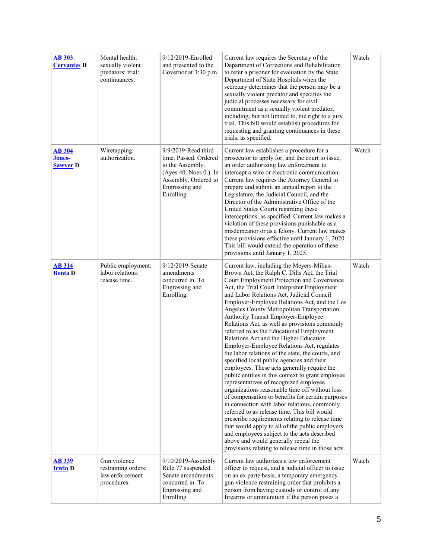| <b>AB 303</b><br><b>Cervantes D</b>        | Mental health:<br>sexually violent<br>predators: trial:<br>continuances. | 9/12/2019-Enrolled<br>and presented to the<br>Governor at 3:30 p.m.                                                                                | Current law requires the Secretary of the<br>Department of Corrections and Rehabilitation<br>to refer a prisoner for evaluation by the State<br>Department of State Hospitals when the<br>secretary determines that the person may be a<br>sexually violent predator and specifies the<br>judicial processes necessary for civil<br>commitment as a sexually violent predator,<br>including, but not limited to, the right to a jury<br>trial. This bill would establish procedures for<br>requesting and granting continuances in these<br>trials, as specified.                                                                                                                                                                                                                                                                                                                                                                                                                                                                                                                                                                                                                                                                                                       | Watch |
|--------------------------------------------|--------------------------------------------------------------------------|----------------------------------------------------------------------------------------------------------------------------------------------------|-------------------------------------------------------------------------------------------------------------------------------------------------------------------------------------------------------------------------------------------------------------------------------------------------------------------------------------------------------------------------------------------------------------------------------------------------------------------------------------------------------------------------------------------------------------------------------------------------------------------------------------------------------------------------------------------------------------------------------------------------------------------------------------------------------------------------------------------------------------------------------------------------------------------------------------------------------------------------------------------------------------------------------------------------------------------------------------------------------------------------------------------------------------------------------------------------------------------------------------------------------------------------|-------|
| <b>AB 304</b><br>Jones-<br><b>Sawyer</b> D | Wiretapping:<br>authorization.                                           | 9/9/2019-Read third<br>time. Passed. Ordered<br>to the Assembly.<br>(Ayes 40. Noes 0.). In<br>Assembly. Ordered to<br>Engrossing and<br>Enrolling. | Current law establishes a procedure for a<br>prosecutor to apply for, and the court to issue,<br>an order authorizing law enforcement to<br>intercept a wire or electronic communication.<br>Current law requires the Attorney General to<br>prepare and submit an annual report to the<br>Legislature, the Judicial Council, and the<br>Director of the Administrative Office of the<br>United States Courts regarding these<br>interceptions, as specified. Current law makes a<br>violation of these provisions punishable as a<br>misdemeanor or as a felony. Current law makes<br>these provisions effective until January 1, 2020.<br>This bill would extend the operation of these<br>provisions until January 1, 2025.                                                                                                                                                                                                                                                                                                                                                                                                                                                                                                                                          | Watch |
| <b>AB 314</b><br><b>Bonta</b> D            | Public employment:<br>labor relations:<br>release time.                  | 9/12/2019-Senate<br>amendments<br>concurred in. To<br>Engrossing and<br>Enrolling.                                                                 | Current law, including the Meyers-Milias-<br>Brown Act, the Ralph C. Dills Act, the Trial<br>Court Employment Protection and Governance<br>Act, the Trial Court Interpreter Employment<br>and Labor Relations Act, Judicial Council<br>Employer-Employee Relations Act, and the Los<br>Angeles County Metropolitan Transportation<br>Authority Transit Employer-Employee<br>Relations Act, as well as provisions commonly<br>referred to as the Educational Employment<br>Relations Act and the Higher Education<br>Employer-Employee Relations Act, regulates<br>the labor relations of the state, the courts, and<br>specified local public agencies and their<br>employees. These acts generally require the<br>public entities in this context to grant employee<br>representatives of recognized employee<br>organizations reasonable time off without loss<br>of compensation or benefits for certain purposes<br>in connection with labor relations, commonly<br>referred to as release time. This bill would<br>prescribe requirements relating to release time<br>that would apply to all of the public employers<br>and employees subject to the acts described<br>above and would generally repeal the<br>provisions relating to release time in those acts. | Watch |
| <b>AB 339</b><br><b>Irwin D</b>            | Gun violence<br>restraining orders:<br>law enforcement<br>procedures.    | $9/10/2019$ -Assembly<br>Rule 77 suspended.<br>Senate amendments<br>concurred in. To<br>Engrossing and<br>Enrolling.                               | Current law authorizes a law enforcement<br>officer to request, and a judicial officer to issue<br>on an ex parte basis, a temporary emergency<br>gun violence restraining order that prohibits a<br>person from having custody or control of any<br>firearms or ammunition if the person poses a                                                                                                                                                                                                                                                                                                                                                                                                                                                                                                                                                                                                                                                                                                                                                                                                                                                                                                                                                                       | Watch |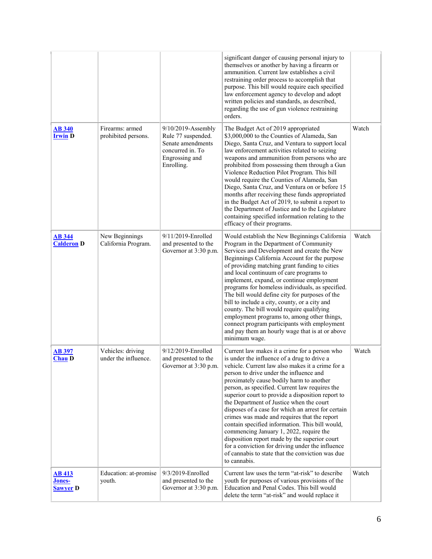|                                            |                                           |                                                                                                                   | significant danger of causing personal injury to<br>themselves or another by having a firearm or<br>ammunition. Current law establishes a civil<br>restraining order process to accomplish that<br>purpose. This bill would require each specified<br>law enforcement agency to develop and adopt<br>written policies and standards, as described,<br>regarding the use of gun violence restraining<br>orders.                                                                                                                                                                                                                                                                                                                                                          |       |
|--------------------------------------------|-------------------------------------------|-------------------------------------------------------------------------------------------------------------------|-------------------------------------------------------------------------------------------------------------------------------------------------------------------------------------------------------------------------------------------------------------------------------------------------------------------------------------------------------------------------------------------------------------------------------------------------------------------------------------------------------------------------------------------------------------------------------------------------------------------------------------------------------------------------------------------------------------------------------------------------------------------------|-------|
| <b>AB 340</b><br><b>Irwin</b> D            | Firearms: armed<br>prohibited persons.    | 9/10/2019-Assembly<br>Rule 77 suspended.<br>Senate amendments<br>concurred in. To<br>Engrossing and<br>Enrolling. | The Budget Act of 2019 appropriated<br>\$3,000,000 to the Counties of Alameda, San<br>Diego, Santa Cruz, and Ventura to support local<br>law enforcement activities related to seizing<br>weapons and ammunition from persons who are<br>prohibited from possessing them through a Gun<br>Violence Reduction Pilot Program. This bill<br>would require the Counties of Alameda, San<br>Diego, Santa Cruz, and Ventura on or before 15<br>months after receiving these funds appropriated<br>in the Budget Act of 2019, to submit a report to<br>the Department of Justice and to the Legislature<br>containing specified information relating to the<br>efficacy of their programs.                                                                                     | Watch |
| <b>AB 344</b><br><b>Calderon D</b>         | New Beginnings<br>California Program.     | 9/11/2019-Enrolled<br>and presented to the<br>Governor at 3:30 p.m.                                               | Would establish the New Beginnings California<br>Program in the Department of Community<br>Services and Development and create the New<br>Beginnings California Account for the purpose<br>of providing matching grant funding to cities<br>and local continuum of care programs to<br>implement, expand, or continue employment<br>programs for homeless individuals, as specified.<br>The bill would define city for purposes of the<br>bill to include a city, county, or a city and<br>county. The bill would require qualifying<br>employment programs to, among other things,<br>connect program participants with employment<br>and pay them an hourly wage that is at or above<br>minimum wage.                                                                 | Watch |
| <b>AB 397</b><br><b>Chau D</b>             | Vehicles: driving<br>under the influence. | 9/12/2019-Enrolled<br>and presented to the<br>Governor at 3:30 p.m.                                               | Current law makes it a crime for a person who<br>is under the influence of a drug to drive a<br>vehicle. Current law also makes it a crime for a<br>person to drive under the influence and<br>proximately cause bodily harm to another<br>person, as specified. Current law requires the<br>superior court to provide a disposition report to<br>the Department of Justice when the court<br>disposes of a case for which an arrest for certain<br>crimes was made and requires that the report<br>contain specified information. This bill would,<br>commencing January 1, 2022, require the<br>disposition report made by the superior court<br>for a conviction for driving under the influence<br>of cannabis to state that the conviction was due<br>to cannabis. | Watch |
| <b>AB 413</b><br>Jones-<br><b>Sawyer</b> D | Education: at-promise<br>youth.           | 9/3/2019-Enrolled<br>and presented to the<br>Governor at 3:30 p.m.                                                | Current law uses the term "at-risk" to describe<br>youth for purposes of various provisions of the<br>Education and Penal Codes. This bill would<br>delete the term "at-risk" and would replace it                                                                                                                                                                                                                                                                                                                                                                                                                                                                                                                                                                      | Watch |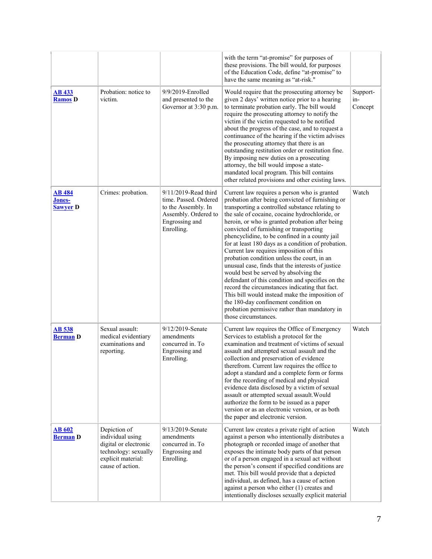|                                            |                                                                                                                             |                                                                                                                              | with the term "at-promise" for purposes of<br>these provisions. The bill would, for purposes<br>of the Education Code, define "at-promise" to<br>have the same meaning as "at-risk."                                                                                                                                                                                                                                                                                                                                                                                                                                                                                                                                                                                                                                                                                         |                            |
|--------------------------------------------|-----------------------------------------------------------------------------------------------------------------------------|------------------------------------------------------------------------------------------------------------------------------|------------------------------------------------------------------------------------------------------------------------------------------------------------------------------------------------------------------------------------------------------------------------------------------------------------------------------------------------------------------------------------------------------------------------------------------------------------------------------------------------------------------------------------------------------------------------------------------------------------------------------------------------------------------------------------------------------------------------------------------------------------------------------------------------------------------------------------------------------------------------------|----------------------------|
| <b>AB 433</b><br><b>Ramos</b> D            | Probation: notice to<br>victim.                                                                                             | 9/9/2019-Enrolled<br>and presented to the<br>Governor at 3:30 p.m.                                                           | Would require that the prosecuting attorney be<br>given 2 days' written notice prior to a hearing<br>to terminate probation early. The bill would<br>require the prosecuting attorney to notify the<br>victim if the victim requested to be notified<br>about the progress of the case, and to request a<br>continuance of the hearing if the victim advises<br>the prosecuting attorney that there is an<br>outstanding restitution order or restitution fine.<br>By imposing new duties on a prosecuting<br>attorney, the bill would impose a state-<br>mandated local program. This bill contains<br>other related provisions and other existing laws.                                                                                                                                                                                                                    | Support-<br>in-<br>Concept |
| <b>AB 484</b><br>Jones-<br><b>Sawyer</b> D | Crimes: probation.                                                                                                          | 9/11/2019-Read third<br>time. Passed. Ordered<br>to the Assembly. In<br>Assembly. Ordered to<br>Engrossing and<br>Enrolling. | Current law requires a person who is granted<br>probation after being convicted of furnishing or<br>transporting a controlled substance relating to<br>the sale of cocaine, cocaine hydrochloride, or<br>heroin, or who is granted probation after being<br>convicted of furnishing or transporting<br>phencyclidine, to be confined in a county jail<br>for at least 180 days as a condition of probation.<br>Current law requires imposition of this<br>probation condition unless the court, in an<br>unusual case, finds that the interests of justice<br>would best be served by absolving the<br>defendant of this condition and specifies on the<br>record the circumstances indicating that fact.<br>This bill would instead make the imposition of<br>the 180-day confinement condition on<br>probation permissive rather than mandatory in<br>those circumstances. | Watch                      |
| <b>AB 538</b><br><b>Berman D</b>           | Sexual assault:<br>medical evidentiary<br>examinations and<br>reporting.                                                    | 9/12/2019-Senate<br>amendments<br>concurred in. To<br>Engrossing and<br>Enrolling.                                           | Current law requires the Office of Emergency<br>Services to establish a protocol for the<br>examination and treatment of victims of sexual<br>assault and attempted sexual assault and the<br>collection and preservation of evidence<br>therefrom. Current law requires the office to<br>adopt a standard and a complete form or forms<br>for the recording of medical and physical<br>evidence data disclosed by a victim of sexual<br>assault or attempted sexual assault. Would<br>authorize the form to be issued as a paper<br>version or as an electronic version, or as both<br>the paper and electronic version.                                                                                                                                                                                                                                                    | Watch                      |
| <b>AB 602</b><br><b>Berman D</b>           | Depiction of<br>individual using<br>digital or electronic<br>technology: sexually<br>explicit material:<br>cause of action. | 9/13/2019-Senate<br>amendments<br>concurred in. To<br>Engrossing and<br>Enrolling.                                           | Current law creates a private right of action<br>against a person who intentionally distributes a<br>photograph or recorded image of another that<br>exposes the intimate body parts of that person<br>or of a person engaged in a sexual act without<br>the person's consent if specified conditions are<br>met. This bill would provide that a depicted<br>individual, as defined, has a cause of action<br>against a person who either (1) creates and<br>intentionally discloses sexually explicit material                                                                                                                                                                                                                                                                                                                                                              | Watch                      |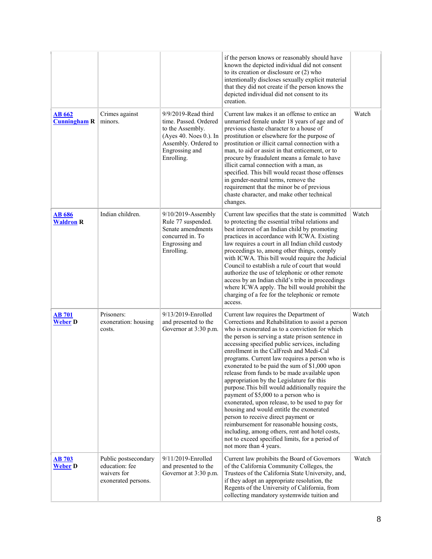|                                      |                                                                              |                                                                                                                                                    | if the person knows or reasonably should have<br>known the depicted individual did not consent<br>to its creation or disclosure or (2) who<br>intentionally discloses sexually explicit material<br>that they did not create if the person knows the<br>depicted individual did not consent to its<br>creation.                                                                                                                                                                                                                                                                                                                                                                                                                                                                                                                                                                                                  |       |
|--------------------------------------|------------------------------------------------------------------------------|----------------------------------------------------------------------------------------------------------------------------------------------------|------------------------------------------------------------------------------------------------------------------------------------------------------------------------------------------------------------------------------------------------------------------------------------------------------------------------------------------------------------------------------------------------------------------------------------------------------------------------------------------------------------------------------------------------------------------------------------------------------------------------------------------------------------------------------------------------------------------------------------------------------------------------------------------------------------------------------------------------------------------------------------------------------------------|-------|
| <b>AB 662</b><br><b>Cunningham R</b> | Crimes against<br>minors.                                                    | 9/9/2019-Read third<br>time. Passed. Ordered<br>to the Assembly.<br>(Ayes 40. Noes 0.). In<br>Assembly. Ordered to<br>Engrossing and<br>Enrolling. | Current law makes it an offense to entice an<br>unmarried female under 18 years of age and of<br>previous chaste character to a house of<br>prostitution or elsewhere for the purpose of<br>prostitution or illicit carnal connection with a<br>man, to aid or assist in that enticement, or to<br>procure by fraudulent means a female to have<br>illicit carnal connection with a man, as<br>specified. This bill would recast those offenses<br>in gender-neutral terms, remove the<br>requirement that the minor be of previous<br>chaste character, and make other technical<br>changes.                                                                                                                                                                                                                                                                                                                    | Watch |
| <b>AB 686</b><br><b>Waldron R</b>    | Indian children.                                                             | 9/10/2019-Assembly<br>Rule 77 suspended.<br>Senate amendments<br>concurred in. To<br>Engrossing and<br>Enrolling.                                  | Current law specifies that the state is committed<br>to protecting the essential tribal relations and<br>best interest of an Indian child by promoting<br>practices in accordance with ICWA. Existing<br>law requires a court in all Indian child custody<br>proceedings to, among other things, comply<br>with ICWA. This bill would require the Judicial<br>Council to establish a rule of court that would<br>authorize the use of telephonic or other remote<br>access by an Indian child's tribe in proceedings<br>where ICWA apply. The bill would prohibit the<br>charging of a fee for the telephonic or remote<br>access.                                                                                                                                                                                                                                                                               | Watch |
| <b>AB 701</b><br><b>Weber D</b>      | Prisoners:<br>exoneration: housing<br>costs.                                 | 9/13/2019-Enrolled<br>and presented to the<br>Governor at 3:30 p.m.                                                                                | Current law requires the Department of<br>Corrections and Rehabilitation to assist a person<br>who is exonerated as to a conviction for which<br>the person is serving a state prison sentence in<br>accessing specified public services, including<br>enrollment in the CalFresh and Medi-Cal<br>programs. Current law requires a person who is<br>exonerated to be paid the sum of \$1,000 upon<br>release from funds to be made available upon<br>appropriation by the Legislature for this<br>purpose. This bill would additionally require the<br>payment of \$5,000 to a person who is<br>exonerated, upon release, to be used to pay for<br>housing and would entitle the exonerated<br>person to receive direct payment or<br>reimbursement for reasonable housing costs,<br>including, among others, rent and hotel costs,<br>not to exceed specified limits, for a period of<br>not more than 4 years. | Watch |
| <b>AB 703</b><br><b>Weber D</b>      | Public postsecondary<br>education: fee<br>waivers for<br>exonerated persons. | 9/11/2019-Enrolled<br>and presented to the<br>Governor at 3:30 p.m.                                                                                | Current law prohibits the Board of Governors<br>of the California Community Colleges, the<br>Trustees of the California State University, and,<br>if they adopt an appropriate resolution, the<br>Regents of the University of California, from<br>collecting mandatory systemwide tuition and                                                                                                                                                                                                                                                                                                                                                                                                                                                                                                                                                                                                                   | Watch |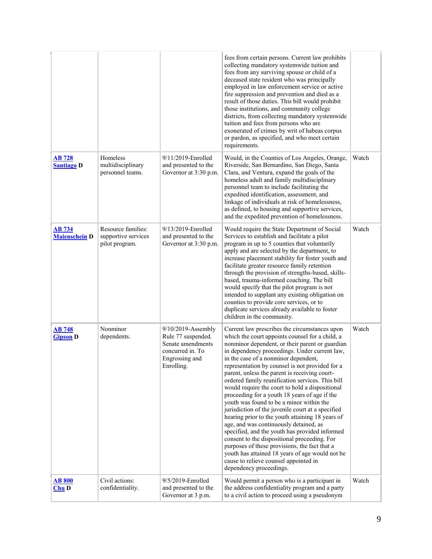|                                       |                                                             |                                                                                                                   | fees from certain persons. Current law prohibits<br>collecting mandatory systemwide tuition and<br>fees from any surviving spouse or child of a<br>deceased state resident who was principally<br>employed in law enforcement service or active<br>fire suppression and prevention and died as a<br>result of those duties. This bill would prohibit<br>those institutions, and community college<br>districts, from collecting mandatory systemwide<br>tuition and fees from persons who are<br>exonerated of crimes by writ of habeas corpus<br>or pardon, as specified, and who meet certain<br>requirements.                                                                                                                                                                                                                                                                                                                                                                  |       |
|---------------------------------------|-------------------------------------------------------------|-------------------------------------------------------------------------------------------------------------------|-----------------------------------------------------------------------------------------------------------------------------------------------------------------------------------------------------------------------------------------------------------------------------------------------------------------------------------------------------------------------------------------------------------------------------------------------------------------------------------------------------------------------------------------------------------------------------------------------------------------------------------------------------------------------------------------------------------------------------------------------------------------------------------------------------------------------------------------------------------------------------------------------------------------------------------------------------------------------------------|-------|
| <b>AB 728</b><br><b>Santiago D</b>    | Homeless<br>multidisciplinary<br>personnel teams.           | 9/11/2019-Enrolled<br>and presented to the<br>Governor at 3:30 p.m.                                               | Would, in the Counties of Los Angeles, Orange,<br>Riverside, San Bernardino, San Diego, Santa<br>Clara, and Ventura, expand the goals of the<br>homeless adult and family multidisciplinary<br>personnel team to include facilitating the<br>expedited identification, assessment, and<br>linkage of individuals at risk of homelessness,<br>as defined, to housing and supportive services,<br>and the expedited prevention of homelessness.                                                                                                                                                                                                                                                                                                                                                                                                                                                                                                                                     | Watch |
| <b>AB 734</b><br><b>Maienschein</b> D | Resource families:<br>supportive services<br>pilot program. | 9/13/2019-Enrolled<br>and presented to the<br>Governor at 3:30 p.m.                                               | Would require the State Department of Social<br>Services to establish and facilitate a pilot<br>program in up to 5 counties that voluntarily<br>apply and are selected by the department, to<br>increase placement stability for foster youth and<br>facilitate greater resource family retention<br>through the provision of strengths-based, skills-<br>based, trauma-informed coaching. The bill<br>would specify that the pilot program is not<br>intended to supplant any existing obligation on<br>counties to provide core services, or to<br>duplicate services already available to foster<br>children in the community.                                                                                                                                                                                                                                                                                                                                                 | Watch |
| <b>AB 748</b><br><b>Gipson</b> D      | Nonminor<br>dependents.                                     | 9/10/2019-Assembly<br>Rule 77 suspended.<br>Senate amendments<br>concurred in. To<br>Engrossing and<br>Enrolling. | Current law prescribes the circumstances upon<br>which the court appoints counsel for a child, a<br>nonminor dependent, or their parent or guardian<br>in dependency proceedings. Under current law,<br>in the case of a nonminor dependent,<br>representation by counsel is not provided for a<br>parent, unless the parent is receiving court-<br>ordered family reunification services. This bill<br>would require the court to hold a dispositional<br>proceeding for a youth 18 years of age if the<br>youth was found to be a minor within the<br>jurisdiction of the juvenile court at a specified<br>hearing prior to the youth attaining 18 years of<br>age, and was continuously detained, as<br>specified, and the youth has provided informed<br>consent to the dispositional proceeding. For<br>purposes of these provisions, the fact that a<br>youth has attained 18 years of age would not be<br>cause to relieve counsel appointed in<br>dependency proceedings. | Watch |
| <b>AB 800</b><br>$Chu$ <sub>D</sub>   | Civil actions:<br>confidentiality.                          | 9/5/2019-Enrolled<br>and presented to the<br>Governor at 3 p.m.                                                   | Would permit a person who is a participant in<br>the address confidentiality program and a party<br>to a civil action to proceed using a pseudonym                                                                                                                                                                                                                                                                                                                                                                                                                                                                                                                                                                                                                                                                                                                                                                                                                                | Watch |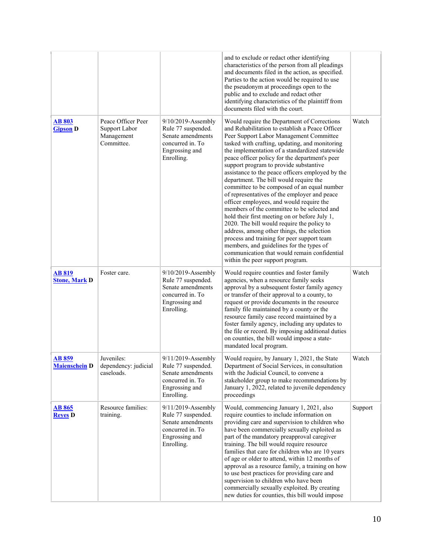|                                       |                                                                 |                                                                                                                   | and to exclude or redact other identifying<br>characteristics of the person from all pleadings<br>and documents filed in the action, as specified.<br>Parties to the action would be required to use<br>the pseudonym at proceedings open to the<br>public and to exclude and redact other<br>identifying characteristics of the plaintiff from<br>documents filed with the court.                                                                                                                                                                                                                                                                                                                                                                                                                                                                                                                                                                           |         |
|---------------------------------------|-----------------------------------------------------------------|-------------------------------------------------------------------------------------------------------------------|--------------------------------------------------------------------------------------------------------------------------------------------------------------------------------------------------------------------------------------------------------------------------------------------------------------------------------------------------------------------------------------------------------------------------------------------------------------------------------------------------------------------------------------------------------------------------------------------------------------------------------------------------------------------------------------------------------------------------------------------------------------------------------------------------------------------------------------------------------------------------------------------------------------------------------------------------------------|---------|
| <b>AB 803</b><br><b>Gipson D</b>      | Peace Officer Peer<br>Support Labor<br>Management<br>Committee. | 9/10/2019-Assembly<br>Rule 77 suspended.<br>Senate amendments<br>concurred in. To<br>Engrossing and<br>Enrolling. | Would require the Department of Corrections<br>and Rehabilitation to establish a Peace Officer<br>Peer Support Labor Management Committee<br>tasked with crafting, updating, and monitoring<br>the implementation of a standardized statewide<br>peace officer policy for the department's peer<br>support program to provide substantive<br>assistance to the peace officers employed by the<br>department. The bill would require the<br>committee to be composed of an equal number<br>of representatives of the employer and peace<br>officer employees, and would require the<br>members of the committee to be selected and<br>hold their first meeting on or before July 1,<br>2020. The bill would require the policy to<br>address, among other things, the selection<br>process and training for peer support team<br>members, and guidelines for the types of<br>communication that would remain confidential<br>within the peer support program. | Watch   |
| <b>AB 819</b><br><b>Stone, Mark D</b> | Foster care.                                                    | 9/10/2019-Assembly<br>Rule 77 suspended.<br>Senate amendments<br>concurred in. To<br>Engrossing and<br>Enrolling. | Would require counties and foster family<br>agencies, when a resource family seeks<br>approval by a subsequent foster family agency<br>or transfer of their approval to a county, to<br>request or provide documents in the resource<br>family file maintained by a county or the<br>resource family case record maintained by a<br>foster family agency, including any updates to<br>the file or record. By imposing additional duties<br>on counties, the bill would impose a state-<br>mandated local program.                                                                                                                                                                                                                                                                                                                                                                                                                                            | Watch   |
| AB 859<br><b>Maienschein D</b>        | Juveniles:<br>dependency: judicial<br>caseloads.                | 9/11/2019-Assembly<br>Rule 77 suspended.<br>Senate amendments<br>concurred in. To<br>Engrossing and<br>Enrolling. | Would require, by January 1, 2021, the State<br>Department of Social Services, in consultation<br>with the Judicial Council, to convene a<br>stakeholder group to make recommendations by<br>January 1, 2022, related to juvenile dependency<br>proceedings                                                                                                                                                                                                                                                                                                                                                                                                                                                                                                                                                                                                                                                                                                  | Watch   |
| <b>AB 865</b><br><b>Reves D</b>       | Resource families:<br>training.                                 | 9/11/2019-Assembly<br>Rule 77 suspended.<br>Senate amendments<br>concurred in. To<br>Engrossing and<br>Enrolling. | Would, commencing January 1, 2021, also<br>require counties to include information on<br>providing care and supervision to children who<br>have been commercially sexually exploited as<br>part of the mandatory preapproval caregiver<br>training. The bill would require resource<br>families that care for children who are 10 years<br>of age or older to attend, within 12 months of<br>approval as a resource family, a training on how<br>to use best practices for providing care and<br>supervision to children who have been<br>commercially sexually exploited. By creating<br>new duties for counties, this bill would impose                                                                                                                                                                                                                                                                                                                    | Support |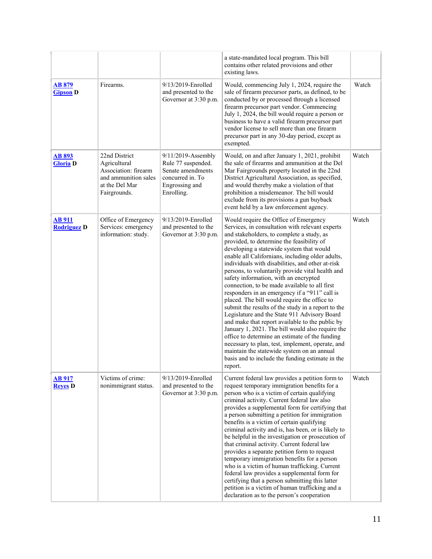|                                    |                                                                                                                 |                                                                                                                   | a state-mandated local program. This bill<br>contains other related provisions and other<br>existing laws.                                                                                                                                                                                                                                                                                                                                                                                                                                                                                                                                                                                                                                                                                                                                                                                                                                                                                                            |       |
|------------------------------------|-----------------------------------------------------------------------------------------------------------------|-------------------------------------------------------------------------------------------------------------------|-----------------------------------------------------------------------------------------------------------------------------------------------------------------------------------------------------------------------------------------------------------------------------------------------------------------------------------------------------------------------------------------------------------------------------------------------------------------------------------------------------------------------------------------------------------------------------------------------------------------------------------------------------------------------------------------------------------------------------------------------------------------------------------------------------------------------------------------------------------------------------------------------------------------------------------------------------------------------------------------------------------------------|-------|
| AB 879<br><b>Gipson</b> D          | Firearms.                                                                                                       | 9/13/2019-Enrolled<br>and presented to the<br>Governor at 3:30 p.m.                                               | Would, commencing July 1, 2024, require the<br>sale of firearm precursor parts, as defined, to be<br>conducted by or processed through a licensed<br>firearm precursor part vendor. Commencing<br>July 1, 2024, the bill would require a person or<br>business to have a valid firearm precursor part<br>vendor license to sell more than one firearm<br>precursor part in any 30-day period, except as<br>exempted.                                                                                                                                                                                                                                                                                                                                                                                                                                                                                                                                                                                                  | Watch |
| <b>AB 893</b><br><b>Gloria</b> D   | 22nd District<br>Agricultural<br>Association: firearm<br>and ammunition sales<br>at the Del Mar<br>Fairgrounds. | 9/11/2019-Assembly<br>Rule 77 suspended.<br>Senate amendments<br>concurred in. To<br>Engrossing and<br>Enrolling. | Would, on and after January 1, 2021, prohibit<br>the sale of firearms and ammunition at the Del<br>Mar Fairgrounds property located in the 22nd<br>District Agricultural Association, as specified,<br>and would thereby make a violation of that<br>prohibition a misdemeanor. The bill would<br>exclude from its provisions a gun buyback<br>event held by a law enforcement agency.                                                                                                                                                                                                                                                                                                                                                                                                                                                                                                                                                                                                                                | Watch |
| <b>AB911</b><br><b>Rodriguez D</b> | Office of Emergency<br>Services: emergency<br>information: study.                                               | 9/13/2019-Enrolled<br>and presented to the<br>Governor at 3:30 p.m.                                               | Would require the Office of Emergency<br>Services, in consultation with relevant experts<br>and stakeholders, to complete a study, as<br>provided, to determine the feasibility of<br>developing a statewide system that would<br>enable all Californians, including older adults,<br>individuals with disabilities, and other at-risk<br>persons, to voluntarily provide vital health and<br>safety information, with an encrypted<br>connection, to be made available to all first<br>responders in an emergency if a "911" call is<br>placed. The bill would require the office to<br>submit the results of the study in a report to the<br>Legislature and the State 911 Advisory Board<br>and make that report available to the public by<br>January 1, 2021. The bill would also require the<br>office to determine an estimate of the funding<br>necessary to plan, test, implement, operate, and<br>maintain the statewide system on an annual<br>basis and to include the funding estimate in the<br>report. | Watch |
| <b>AB917</b><br><b>Reves</b> D     | Victims of crime:<br>nonimmigrant status.                                                                       | 9/13/2019-Enrolled<br>and presented to the<br>Governor at 3:30 p.m.                                               | Current federal law provides a petition form to<br>request temporary immigration benefits for a<br>person who is a victim of certain qualifying<br>criminal activity. Current federal law also<br>provides a supplemental form for certifying that<br>a person submitting a petition for immigration<br>benefits is a victim of certain qualifying<br>criminal activity and is, has been, or is likely to<br>be helpful in the investigation or prosecution of<br>that criminal activity. Current federal law<br>provides a separate petition form to request<br>temporary immigration benefits for a person<br>who is a victim of human trafficking. Current<br>federal law provides a supplemental form for<br>certifying that a person submitting this latter<br>petition is a victim of human trafficking and a<br>declaration as to the person's cooperation                                                                                                                                                     | Watch |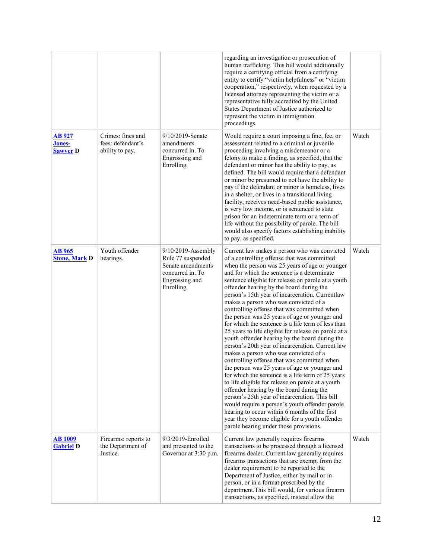|                                            |                                                           |                                                                                                                      | regarding an investigation or prosecution of<br>human trafficking. This bill would additionally<br>require a certifying official from a certifying<br>entity to certify "victim helpfulness" or "victim<br>cooperation," respectively, when requested by a<br>licensed attorney representing the victim or a<br>representative fully accredited by the United<br>States Department of Justice authorized to<br>represent the victim in immigration<br>proceedings.                                                                                                                                                                                                                                                                                                                                                                                                                                                                                                                                                                                                                                                                                                                                                                                             |       |
|--------------------------------------------|-----------------------------------------------------------|----------------------------------------------------------------------------------------------------------------------|----------------------------------------------------------------------------------------------------------------------------------------------------------------------------------------------------------------------------------------------------------------------------------------------------------------------------------------------------------------------------------------------------------------------------------------------------------------------------------------------------------------------------------------------------------------------------------------------------------------------------------------------------------------------------------------------------------------------------------------------------------------------------------------------------------------------------------------------------------------------------------------------------------------------------------------------------------------------------------------------------------------------------------------------------------------------------------------------------------------------------------------------------------------------------------------------------------------------------------------------------------------|-------|
| <b>AB</b> 927<br>Jones-<br><b>Sawyer</b> D | Crimes: fines and<br>fees: defendant's<br>ability to pay. | 9/10/2019-Senate<br>amendments<br>concurred in. To<br>Engrossing and<br>Enrolling.                                   | Would require a court imposing a fine, fee, or<br>assessment related to a criminal or juvenile<br>proceeding involving a misdemeanor or a<br>felony to make a finding, as specified, that the<br>defendant or minor has the ability to pay, as<br>defined. The bill would require that a defendant<br>or minor be presumed to not have the ability to<br>pay if the defendant or minor is homeless, lives<br>in a shelter, or lives in a transitional living<br>facility, receives need-based public assistance,<br>is very low income, or is sentenced to state<br>prison for an indeterminate term or a term of<br>life without the possibility of parole. The bill<br>would also specify factors establishing inability<br>to pay, as specified.                                                                                                                                                                                                                                                                                                                                                                                                                                                                                                            | Watch |
| <b>AB 965</b><br><b>Stone, Mark D</b>      | Youth offender<br>hearings.                               | $9/10/2019$ -Assembly<br>Rule 77 suspended.<br>Senate amendments<br>concurred in. To<br>Engrossing and<br>Enrolling. | Current law makes a person who was convicted<br>of a controlling offense that was committed<br>when the person was 25 years of age or younger<br>and for which the sentence is a determinate<br>sentence eligible for release on parole at a youth<br>offender hearing by the board during the<br>person's 15th year of incarceration. Currentlaw<br>makes a person who was convicted of a<br>controlling offense that was committed when<br>the person was 25 years of age or younger and<br>for which the sentence is a life term of less than<br>25 years to life eligible for release on parole at a<br>youth offender hearing by the board during the<br>person's 20th year of incarceration. Current law<br>makes a person who was convicted of a<br>controlling offense that was committed when<br>the person was 25 years of age or younger and<br>for which the sentence is a life term of 25 years<br>to life eligible for release on parole at a youth<br>offender hearing by the board during the<br>person's 25th year of incarceration. This bill<br>would require a person's youth offender parole<br>hearing to occur within 6 months of the first<br>year they become eligible for a youth offender<br>parole hearing under those provisions. | Watch |
| <b>AB</b> 1009<br><b>Gabriel D</b>         | Firearms: reports to<br>the Department of<br>Justice.     | 9/3/2019-Enrolled<br>and presented to the<br>Governor at 3:30 p.m.                                                   | Current law generally requires firearms<br>transactions to be processed through a licensed<br>firearms dealer. Current law generally requires<br>firearms transactions that are exempt from the<br>dealer requirement to be reported to the<br>Department of Justice, either by mail or in<br>person, or in a format prescribed by the<br>department. This bill would, for various firearm<br>transactions, as specified, instead allow the                                                                                                                                                                                                                                                                                                                                                                                                                                                                                                                                                                                                                                                                                                                                                                                                                    | Watch |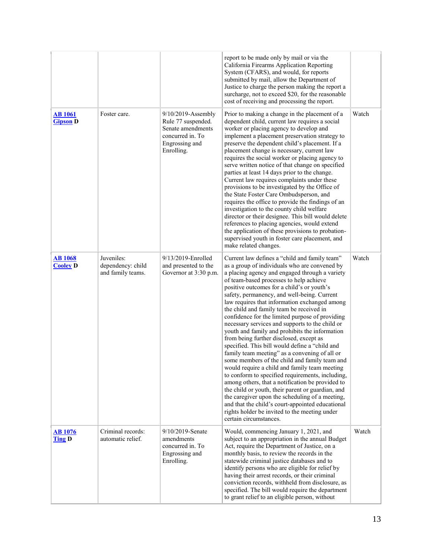|                                   |                                                      |                                                                                                                   | report to be made only by mail or via the<br>California Firearms Application Reporting<br>System (CFARS), and would, for reports<br>submitted by mail, allow the Department of<br>Justice to charge the person making the report a<br>surcharge, not to exceed \$20, for the reasonable<br>cost of receiving and processing the report.                                                                                                                                                                                                                                                                                                                                                                                                                                                                                                                                                                                                                                                                                                                                                                                                      |       |
|-----------------------------------|------------------------------------------------------|-------------------------------------------------------------------------------------------------------------------|----------------------------------------------------------------------------------------------------------------------------------------------------------------------------------------------------------------------------------------------------------------------------------------------------------------------------------------------------------------------------------------------------------------------------------------------------------------------------------------------------------------------------------------------------------------------------------------------------------------------------------------------------------------------------------------------------------------------------------------------------------------------------------------------------------------------------------------------------------------------------------------------------------------------------------------------------------------------------------------------------------------------------------------------------------------------------------------------------------------------------------------------|-------|
| <b>AB</b> 1061<br><b>Gipson</b> D | Foster care.                                         | 9/10/2019-Assembly<br>Rule 77 suspended.<br>Senate amendments<br>concurred in. To<br>Engrossing and<br>Enrolling. | Prior to making a change in the placement of a<br>dependent child, current law requires a social<br>worker or placing agency to develop and<br>implement a placement preservation strategy to<br>preserve the dependent child's placement. If a<br>placement change is necessary, current law<br>requires the social worker or placing agency to<br>serve written notice of that change on specified<br>parties at least 14 days prior to the change.<br>Current law requires complaints under these<br>provisions to be investigated by the Office of<br>the State Foster Care Ombudsperson, and<br>requires the office to provide the findings of an<br>investigation to the county child welfare<br>director or their designee. This bill would delete<br>references to placing agencies, would extend<br>the application of these provisions to probation-<br>supervised youth in foster care placement, and<br>make related changes.                                                                                                                                                                                                    | Watch |
| <b>AB</b> 1068<br><b>Cooley D</b> | Juveniles:<br>dependency: child<br>and family teams. | 9/13/2019-Enrolled<br>and presented to the<br>Governor at 3:30 p.m.                                               | Current law defines a "child and family team"<br>as a group of individuals who are convened by<br>a placing agency and engaged through a variety<br>of team-based processes to help achieve<br>positive outcomes for a child's or youth's<br>safety, permanency, and well-being. Current<br>law requires that information exchanged among<br>the child and family team be received in<br>confidence for the limited purpose of providing<br>necessary services and supports to the child or<br>youth and family and prohibits the information<br>from being further disclosed, except as<br>specified. This bill would define a "child and<br>family team meeting" as a convening of all or<br>some members of the child and family team and<br>would require a child and family team meeting<br>to conform to specified requirements, including,<br>among others, that a notification be provided to<br>the child or youth, their parent or guardian, and<br>the caregiver upon the scheduling of a meeting,<br>and that the child's court-appointed educational<br>rights holder be invited to the meeting under<br>certain circumstances. | Watch |
| <b>AB</b> 1076<br><b>Ting D</b>   | Criminal records:<br>automatic relief.               | 9/10/2019-Senate<br>amendments<br>concurred in. To<br>Engrossing and<br>Enrolling.                                | Would, commencing January 1, 2021, and<br>subject to an appropriation in the annual Budget<br>Act, require the Department of Justice, on a<br>monthly basis, to review the records in the<br>statewide criminal justice databases and to<br>identify persons who are eligible for relief by<br>having their arrest records, or their criminal<br>conviction records, withheld from disclosure, as<br>specified. The bill would require the department<br>to grant relief to an eligible person, without                                                                                                                                                                                                                                                                                                                                                                                                                                                                                                                                                                                                                                      | Watch |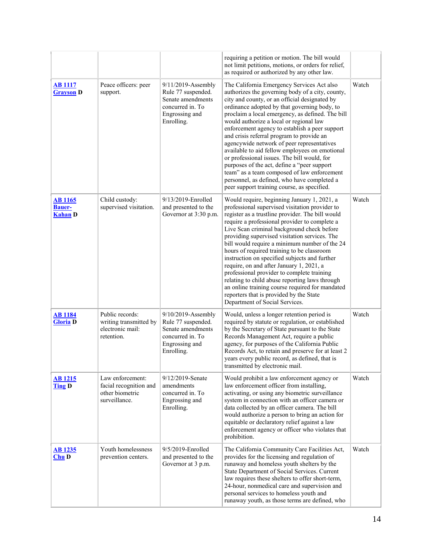|                                                   |                                                                                |                                                                                                                   | requiring a petition or motion. The bill would<br>not limit petitions, motions, or orders for relief,<br>as required or authorized by any other law.                                                                                                                                                                                                                                                                                                                                                                                                                                                                                                                                                                                     |       |
|---------------------------------------------------|--------------------------------------------------------------------------------|-------------------------------------------------------------------------------------------------------------------|------------------------------------------------------------------------------------------------------------------------------------------------------------------------------------------------------------------------------------------------------------------------------------------------------------------------------------------------------------------------------------------------------------------------------------------------------------------------------------------------------------------------------------------------------------------------------------------------------------------------------------------------------------------------------------------------------------------------------------------|-------|
| <b>AB</b> 1117<br><b>Grayson</b> D                | Peace officers: peer<br>support.                                               | 9/11/2019-Assembly<br>Rule 77 suspended.<br>Senate amendments<br>concurred in. To<br>Engrossing and<br>Enrolling. | The California Emergency Services Act also<br>authorizes the governing body of a city, county,<br>city and county, or an official designated by<br>ordinance adopted by that governing body, to<br>proclaim a local emergency, as defined. The bill<br>would authorize a local or regional law<br>enforcement agency to establish a peer support<br>and crisis referral program to provide an<br>agencywide network of peer representatives<br>available to aid fellow employees on emotional<br>or professional issues. The bill would, for<br>purposes of the act, define a "peer support<br>team" as a team composed of law enforcement<br>personnel, as defined, who have completed a<br>peer support training course, as specified. | Watch |
| <b>AB</b> 1165<br><b>Bauer-</b><br><b>Kahan D</b> | Child custody:<br>supervised visitation.                                       | 9/13/2019-Enrolled<br>and presented to the<br>Governor at 3:30 p.m.                                               | Would require, beginning January 1, 2021, a<br>professional supervised visitation provider to<br>register as a trustline provider. The bill would<br>require a professional provider to complete a<br>Live Scan criminal background check before<br>providing supervised visitation services. The<br>bill would require a minimum number of the 24<br>hours of required training to be classroom<br>instruction on specified subjects and further<br>require, on and after January 1, 2021, a<br>professional provider to complete training<br>relating to child abuse reporting laws through<br>an online training course required for mandated<br>reporters that is provided by the State<br>Department of Social Services.            | Watch |
| <b>AB</b> 1184<br><b>Gloria</b> D                 | Public records:<br>writing transmitted by<br>electronic mail:<br>retention.    | 9/10/2019-Assembly<br>Rule 77 suspended.<br>Senate amendments<br>concurred in. To<br>Engrossing and<br>Enrolling. | Would, unless a longer retention period is<br>required by statute or regulation, or established<br>by the Secretary of State pursuant to the State<br>Records Management Act, require a public<br>agency, for purposes of the California Public<br>Records Act, to retain and preserve for at least 2<br>years every public record, as defined, that is<br>transmitted by electronic mail.                                                                                                                                                                                                                                                                                                                                               | Watch |
| <b>AB 1215</b><br><b>Ting D</b>                   | Law enforcement:<br>facial recognition and<br>other biometric<br>surveillance. | 9/12/2019-Senate<br>amendments<br>concurred in. To<br>Engrossing and<br>Enrolling.                                | Would prohibit a law enforcement agency or<br>law enforcement officer from installing,<br>activating, or using any biometric surveillance<br>system in connection with an officer camera or<br>data collected by an officer camera. The bill<br>would authorize a person to bring an action for<br>equitable or declaratory relief against a law<br>enforcement agency or officer who violates that<br>prohibition.                                                                                                                                                                                                                                                                                                                      | Watch |
| <b>AB</b> 1235<br>Chu D                           | Youth homelessness<br>prevention centers.                                      | 9/5/2019-Enrolled<br>and presented to the<br>Governor at 3 p.m.                                                   | The California Community Care Facilities Act,<br>provides for the licensing and regulation of<br>runaway and homeless youth shelters by the<br>State Department of Social Services. Current<br>law requires these shelters to offer short-term,<br>24-hour, nonmedical care and supervision and<br>personal services to homeless youth and<br>runaway youth, as those terms are defined, who                                                                                                                                                                                                                                                                                                                                             | Watch |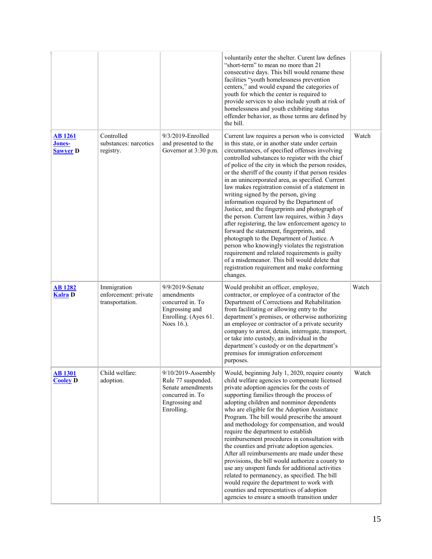|                                             |                                                        |                                                                                                                   | voluntarily enter the shelter. Curent law defines<br>"short-term" to mean no more than 21<br>consecutive days. This bill would rename these<br>facilities "youth homelessness prevention<br>centers," and would expand the categories of<br>youth for which the center is required to<br>provide services to also include youth at risk of<br>homelessness and youth exhibiting status<br>offender behavior, as those terms are defined by<br>the bill.                                                                                                                                                                                                                                                                                                                                                                                                                                                                                                                                 |       |
|---------------------------------------------|--------------------------------------------------------|-------------------------------------------------------------------------------------------------------------------|-----------------------------------------------------------------------------------------------------------------------------------------------------------------------------------------------------------------------------------------------------------------------------------------------------------------------------------------------------------------------------------------------------------------------------------------------------------------------------------------------------------------------------------------------------------------------------------------------------------------------------------------------------------------------------------------------------------------------------------------------------------------------------------------------------------------------------------------------------------------------------------------------------------------------------------------------------------------------------------------|-------|
| <b>AB</b> 1261<br>Jones-<br><b>Sawver D</b> | Controlled<br>substances: narcotics<br>registry.       | 9/3/2019-Enrolled<br>and presented to the<br>Governor at 3:30 p.m.                                                | Current law requires a person who is convicted<br>in this state, or in another state under certain<br>circumstances, of specified offenses involving<br>controlled substances to register with the chief<br>of police of the city in which the person resides,<br>or the sheriff of the county if that person resides<br>in an unincorporated area, as specified. Current<br>law makes registration consist of a statement in<br>writing signed by the person, giving<br>information required by the Department of<br>Justice, and the fingerprints and photograph of<br>the person. Current law requires, within 3 days<br>after registering, the law enforcement agency to<br>forward the statement, fingerprints, and<br>photograph to the Department of Justice. A<br>person who knowingly violates the registration<br>requirement and related requirements is guilty<br>of a misdemeanor. This bill would delete that<br>registration requirement and make conforming<br>changes. | Watch |
| <b>AB1282</b><br><b>Kalra</b> D             | Immigration<br>enforcement: private<br>transportation. | 9/9/2019-Senate<br>amendments<br>concurred in. To<br>Engrossing and<br>Enrolling. (Ayes 61.<br>Noes 16.).         | Would prohibit an officer, employee,<br>contractor, or employee of a contractor of the<br>Department of Corrections and Rehabilitation<br>from facilitating or allowing entry to the<br>department's premises, or otherwise authorizing<br>an employee or contractor of a private security<br>company to arrest, detain, interrogate, transport,<br>or take into custody, an individual in the<br>department's custody or on the department's<br>premises for immigration enforcement<br>purposes.                                                                                                                                                                                                                                                                                                                                                                                                                                                                                      | Watch |
| <b>AB1301</b><br><b>Cooley D</b>            | Child welfare:<br>adoption.                            | 9/10/2019-Assembly<br>Rule 77 suspended.<br>Senate amendments<br>concurred in. To<br>Engrossing and<br>Enrolling. | Would, beginning July 1, 2020, require county<br>child welfare agencies to compensate licensed<br>private adoption agencies for the costs of<br>supporting families through the process of<br>adopting children and nonminor dependents<br>who are eligible for the Adoption Assistance<br>Program. The bill would prescribe the amount<br>and methodology for compensation, and would<br>require the department to establish<br>reimbursement procedures in consultation with<br>the counties and private adoption agencies.<br>After all reimbursements are made under these<br>provisions, the bill would authorize a county to<br>use any unspent funds for additional activities<br>related to permanency, as specified. The bill<br>would require the department to work with<br>counties and representatives of adoption<br>agencies to ensure a smooth transition under                                                                                                         | Watch |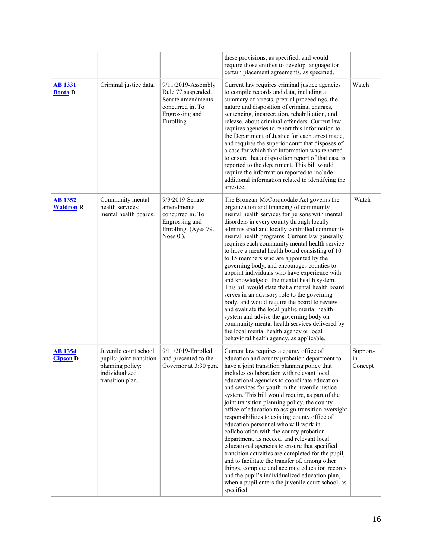|                                    |                                                                                                             |                                                                                                                   | these provisions, as specified, and would<br>require those entities to develop language for<br>certain placement agreements, as specified.                                                                                                                                                                                                                                                                                                                                                                                                                                                                                                                                                                                                                                                                                                                                                                                                                         |                            |
|------------------------------------|-------------------------------------------------------------------------------------------------------------|-------------------------------------------------------------------------------------------------------------------|--------------------------------------------------------------------------------------------------------------------------------------------------------------------------------------------------------------------------------------------------------------------------------------------------------------------------------------------------------------------------------------------------------------------------------------------------------------------------------------------------------------------------------------------------------------------------------------------------------------------------------------------------------------------------------------------------------------------------------------------------------------------------------------------------------------------------------------------------------------------------------------------------------------------------------------------------------------------|----------------------------|
| <b>AB</b> 1331<br><b>Bonta</b> D   | Criminal justice data.                                                                                      | 9/11/2019-Assembly<br>Rule 77 suspended.<br>Senate amendments<br>concurred in. To<br>Engrossing and<br>Enrolling. | Current law requires criminal justice agencies<br>to compile records and data, including a<br>summary of arrests, pretrial proceedings, the<br>nature and disposition of criminal charges,<br>sentencing, incarceration, rehabilitation, and<br>release, about criminal offenders. Current law<br>requires agencies to report this information to<br>the Department of Justice for each arrest made,<br>and requires the superior court that disposes of<br>a case for which that information was reported<br>to ensure that a disposition report of that case is<br>reported to the department. This bill would<br>require the information reported to include<br>additional information related to identifying the<br>arrestee.                                                                                                                                                                                                                                  | Watch                      |
| <b>AB</b> 1352<br><b>Waldron R</b> | Community mental<br>health services:<br>mental health boards.                                               | 9/9/2019-Senate<br>amendments<br>concurred in. To<br>Engrossing and<br>Enrolling. (Ayes 79.<br>Noes $0.$ ).       | The Bronzan-McCorquodale Act governs the<br>organization and financing of community<br>mental health services for persons with mental<br>disorders in every county through locally<br>administered and locally controlled community<br>mental health programs. Current law generally<br>requires each community mental health service<br>to have a mental health board consisting of 10<br>to 15 members who are appointed by the<br>governing body, and encourages counties to<br>appoint individuals who have experience with<br>and knowledge of the mental health system.<br>This bill would state that a mental health board<br>serves in an advisory role to the governing<br>body, and would require the board to review<br>and evaluate the local public mental health<br>system and advise the governing body on<br>community mental health services delivered by<br>the local mental health agency or local<br>behavioral health agency, as applicable.  | Watch                      |
| <b>AB 1354</b><br><b>Gipson D</b>  | Juvenile court school<br>pupils: joint transition<br>planning policy:<br>individualized<br>transition plan. | 9/11/2019-Enrolled<br>and presented to the<br>Governor at 3:30 p.m.                                               | Current law requires a county office of<br>education and county probation department to<br>have a joint transition planning policy that<br>includes collaboration with relevant local<br>educational agencies to coordinate education<br>and services for youth in the juvenile justice<br>system. This bill would require, as part of the<br>joint transition planning policy, the county<br>office of education to assign transition oversight<br>responsibilities to existing county office of<br>education personnel who will work in<br>collaboration with the county probation<br>department, as needed, and relevant local<br>educational agencies to ensure that specified<br>transition activities are completed for the pupil,<br>and to facilitate the transfer of, among other<br>things, complete and accurate education records<br>and the pupil's individualized education plan,<br>when a pupil enters the juvenile court school, as<br>specified. | Support-<br>in-<br>Concept |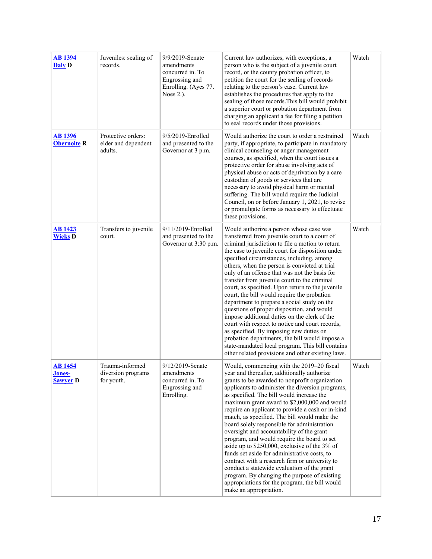| <b>AB</b> 1394<br>Daly D                          | Juveniles: sealing of<br>records.                    | 9/9/2019-Senate<br>amendments<br>concurred in. To<br>Engrossing and<br>Enrolling. (Ayes 77.<br>Noes $2.$ ). | Current law authorizes, with exceptions, a<br>person who is the subject of a juvenile court<br>record, or the county probation officer, to<br>petition the court for the sealing of records<br>relating to the person's case. Current law<br>establishes the procedures that apply to the<br>sealing of those records. This bill would prohibit<br>a superior court or probation department from<br>charging an applicant a fee for filing a petition<br>to seal records under those provisions.                                                                                                                                                                                                                                                                                                                                                                                                         | Watch |
|---------------------------------------------------|------------------------------------------------------|-------------------------------------------------------------------------------------------------------------|----------------------------------------------------------------------------------------------------------------------------------------------------------------------------------------------------------------------------------------------------------------------------------------------------------------------------------------------------------------------------------------------------------------------------------------------------------------------------------------------------------------------------------------------------------------------------------------------------------------------------------------------------------------------------------------------------------------------------------------------------------------------------------------------------------------------------------------------------------------------------------------------------------|-------|
| <b>AB 1396</b><br><b>Obernolte R</b>              | Protective orders:<br>elder and dependent<br>adults. | 9/5/2019-Enrolled<br>and presented to the<br>Governor at 3 p.m.                                             | Would authorize the court to order a restrained<br>party, if appropriate, to participate in mandatory<br>clinical counseling or anger management<br>courses, as specified, when the court issues a<br>protective order for abuse involving acts of<br>physical abuse or acts of deprivation by a care<br>custodian of goods or services that are<br>necessary to avoid physical harm or mental<br>suffering. The bill would require the Judicial<br>Council, on or before January 1, 2021, to revise<br>or promulgate forms as necessary to effectuate<br>these provisions.                                                                                                                                                                                                                                                                                                                              | Watch |
| <b>AB 1423</b><br><b>Wicks D</b>                  | Transfers to juvenile<br>court.                      | 9/11/2019-Enrolled<br>and presented to the<br>Governor at 3:30 p.m.                                         | Would authorize a person whose case was<br>transferred from juvenile court to a court of<br>criminal jurisdiction to file a motion to return<br>the case to juvenile court for disposition under<br>specified circumstances, including, among<br>others, when the person is convicted at trial<br>only of an offense that was not the basis for<br>transfer from juvenile court to the criminal<br>court, as specified. Upon return to the juvenile<br>court, the bill would require the probation<br>department to prepare a social study on the<br>questions of proper disposition, and would<br>impose additional duties on the clerk of the<br>court with respect to notice and court records,<br>as specified. By imposing new duties on<br>probation departments, the bill would impose a<br>state-mandated local program. This bill contains<br>other related provisions and other existing laws. | Watch |
| <b>AB1454</b><br><b>Jones-</b><br><b>Sawyer D</b> | Trauma-informed<br>diversion programs<br>for youth.  | 9/12/2019-Senate<br>amendments<br>concurred in. To<br>Engrossing and<br>Enrolling.                          | Would, commencing with the 2019–20 fiscal<br>year and thereafter, additionally authorize<br>grants to be awarded to nonprofit organization<br>applicants to administer the diversion programs,<br>as specified. The bill would increase the<br>maximum grant award to \$2,000,000 and would<br>require an applicant to provide a cash or in-kind<br>match, as specified. The bill would make the<br>board solely responsible for administration<br>oversight and accountability of the grant<br>program, and would require the board to set<br>aside up to \$250,000, exclusive of the 3% of<br>funds set aside for administrative costs, to<br>contract with a research firm or university to<br>conduct a statewide evaluation of the grant<br>program. By changing the purpose of existing<br>appropriations for the program, the bill would<br>make an appropriation.                                | Watch |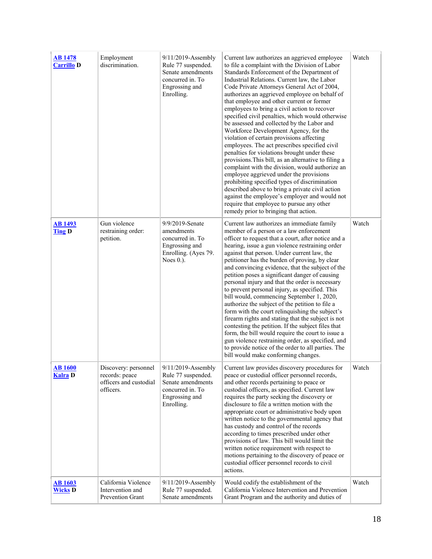| <b>AB</b> 1478<br><b>Carrillo D</b> | Employment<br>discrimination.                                                 | 9/11/2019-Assembly<br>Rule 77 suspended.<br>Senate amendments<br>concurred in. To<br>Engrossing and<br>Enrolling. | Current law authorizes an aggrieved employee<br>to file a complaint with the Division of Labor<br>Standards Enforcement of the Department of<br>Industrial Relations. Current law, the Labor<br>Code Private Attorneys General Act of 2004,<br>authorizes an aggrieved employee on behalf of<br>that employee and other current or former<br>employees to bring a civil action to recover<br>specified civil penalties, which would otherwise<br>be assessed and collected by the Labor and<br>Workforce Development Agency, for the<br>violation of certain provisions affecting<br>employees. The act prescribes specified civil<br>penalties for violations brought under these<br>provisions. This bill, as an alternative to filing a<br>complaint with the division, would authorize an<br>employee aggrieved under the provisions<br>prohibiting specified types of discrimination<br>described above to bring a private civil action<br>against the employee's employer and would not<br>require that employee to pursue any other<br>remedy prior to bringing that action. | Watch |
|-------------------------------------|-------------------------------------------------------------------------------|-------------------------------------------------------------------------------------------------------------------|-------------------------------------------------------------------------------------------------------------------------------------------------------------------------------------------------------------------------------------------------------------------------------------------------------------------------------------------------------------------------------------------------------------------------------------------------------------------------------------------------------------------------------------------------------------------------------------------------------------------------------------------------------------------------------------------------------------------------------------------------------------------------------------------------------------------------------------------------------------------------------------------------------------------------------------------------------------------------------------------------------------------------------------------------------------------------------------|-------|
| <b>AB 1493</b><br><b>Ting D</b>     | Gun violence<br>restraining order:<br>petition.                               | 9/9/2019-Senate<br>amendments<br>concurred in. To<br>Engrossing and<br>Enrolling. (Ayes 79.<br>Noes $0.$ ).       | Current law authorizes an immediate family<br>member of a person or a law enforcement<br>officer to request that a court, after notice and a<br>hearing, issue a gun violence restraining order<br>against that person. Under current law, the<br>petitioner has the burden of proving, by clear<br>and convincing evidence, that the subject of the<br>petition poses a significant danger of causing<br>personal injury and that the order is necessary<br>to prevent personal injury, as specified. This<br>bill would, commencing September 1, 2020,<br>authorize the subject of the petition to file a<br>form with the court relinquishing the subject's<br>firearm rights and stating that the subject is not<br>contesting the petition. If the subject files that<br>form, the bill would require the court to issue a<br>gun violence restraining order, as specified, and<br>to provide notice of the order to all parties. The<br>bill would make conforming changes.                                                                                                   | Watch |
| <b>AB</b> 1600<br><b>Kalra</b> D    | Discovery: personnel<br>records: peace<br>officers and custodial<br>officers. | 9/11/2019-Assembly<br>Rule 77 suspended.<br>Senate amendments<br>concurred in. To<br>Engrossing and<br>Enrolling. | Current law provides discovery procedures for<br>peace or custodial officer personnel records,<br>and other records pertaining to peace or<br>custodial officers, as specified. Current law<br>requires the party seeking the discovery or<br>disclosure to file a written motion with the<br>appropriate court or administrative body upon<br>written notice to the governmental agency that<br>has custody and control of the records<br>according to times prescribed under other<br>provisions of law. This bill would limit the<br>written notice requirement with respect to<br>motions pertaining to the discovery of peace or<br>custodial officer personnel records to civil<br>actions.                                                                                                                                                                                                                                                                                                                                                                                   | Watch |
| <b>AB</b> 1603<br><b>Wicks D</b>    | California Violence<br>Intervention and<br><b>Prevention Grant</b>            | 9/11/2019-Assembly<br>Rule 77 suspended.<br>Senate amendments                                                     | Would codify the establishment of the<br>California Violence Intervention and Prevention<br>Grant Program and the authority and duties of                                                                                                                                                                                                                                                                                                                                                                                                                                                                                                                                                                                                                                                                                                                                                                                                                                                                                                                                           | Watch |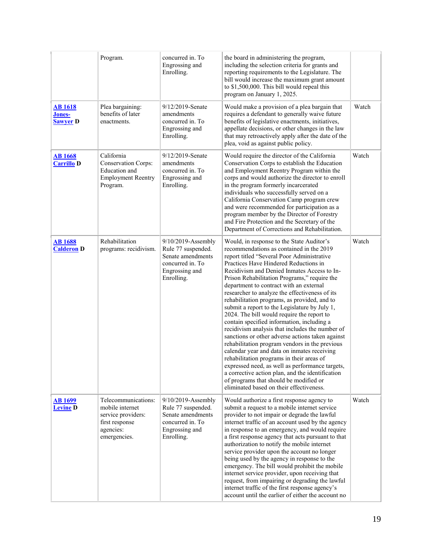|                                             | Program.                                                                                                    | concurred in. To<br>Engrossing and<br>Enrolling.                                                                  | the board in administering the program,<br>including the selection criteria for grants and<br>reporting requirements to the Legislature. The<br>bill would increase the maximum grant amount<br>to \$1,500,000. This bill would repeal this<br>program on January 1, 2025.                                                                                                                                                                                                                                                                                                                                                                                                                                                                                                                                                                                                                                                                                                                                              |       |
|---------------------------------------------|-------------------------------------------------------------------------------------------------------------|-------------------------------------------------------------------------------------------------------------------|-------------------------------------------------------------------------------------------------------------------------------------------------------------------------------------------------------------------------------------------------------------------------------------------------------------------------------------------------------------------------------------------------------------------------------------------------------------------------------------------------------------------------------------------------------------------------------------------------------------------------------------------------------------------------------------------------------------------------------------------------------------------------------------------------------------------------------------------------------------------------------------------------------------------------------------------------------------------------------------------------------------------------|-------|
| <b>AB</b> 1618<br>Jones-<br><b>Sawyer D</b> | Plea bargaining:<br>benefits of later<br>enactments.                                                        | 9/12/2019-Senate<br>amendments<br>concurred in. To<br>Engrossing and<br>Enrolling.                                | Would make a provision of a plea bargain that<br>requires a defendant to generally waive future<br>benefits of legislative enactments, initiatives,<br>appellate decisions, or other changes in the law<br>that may retroactively apply after the date of the<br>plea, void as against public policy.                                                                                                                                                                                                                                                                                                                                                                                                                                                                                                                                                                                                                                                                                                                   | Watch |
| <b>AB</b> 1668<br><b>Carrillo D</b>         | California<br><b>Conservation Corps:</b><br>Education and<br><b>Employment Reentry</b><br>Program.          | 9/12/2019-Senate<br>amendments<br>concurred in. To<br>Engrossing and<br>Enrolling.                                | Would require the director of the California<br>Conservation Corps to establish the Education<br>and Employment Reentry Program within the<br>corps and would authorize the director to enroll<br>in the program formerly incarcerated<br>individuals who successfully served on a<br>California Conservation Camp program crew<br>and were recommended for participation as a<br>program member by the Director of Forestry<br>and Fire Protection and the Secretary of the<br>Department of Corrections and Rehabilitation.                                                                                                                                                                                                                                                                                                                                                                                                                                                                                           | Watch |
| <b>AB1688</b><br><b>Calderon</b> D          | Rehabilitation<br>programs: recidivism.                                                                     | 9/10/2019-Assembly<br>Rule 77 suspended.<br>Senate amendments<br>concurred in. To<br>Engrossing and<br>Enrolling. | Would, in response to the State Auditor's<br>recommendations as contained in the 2019<br>report titled "Several Poor Administrative<br>Practices Have Hindered Reductions in<br>Recidivism and Denied Inmates Access to In-<br>Prison Rehabilitation Programs," require the<br>department to contract with an external<br>researcher to analyze the effectiveness of its<br>rehabilitation programs, as provided, and to<br>submit a report to the Legislature by July 1,<br>2024. The bill would require the report to<br>contain specified information, including a<br>recidivism analysis that includes the number of<br>sanctions or other adverse actions taken against<br>rehabilitation program vendors in the previous<br>calendar year and data on inmates receiving<br>rehabilitation programs in their areas of<br>expressed need, as well as performance targets,<br>a corrective action plan, and the identification<br>of programs that should be modified or<br>eliminated based on their effectiveness. | Watch |
| <u>AB 1699</u><br><b>Levine D</b>           | Telecommunications:<br>mobile internet<br>service providers:<br>first response<br>agencies:<br>emergencies. | 9/10/2019-Assembly<br>Rule 77 suspended.<br>Senate amendments<br>concurred in. To<br>Engrossing and<br>Enrolling. | Would authorize a first response agency to<br>submit a request to a mobile internet service<br>provider to not impair or degrade the lawful<br>internet traffic of an account used by the agency<br>in response to an emergency, and would require<br>a first response agency that acts pursuant to that<br>authorization to notify the mobile internet<br>service provider upon the account no longer<br>being used by the agency in response to the<br>emergency. The bill would prohibit the mobile<br>internet service provider, upon receiving that<br>request, from impairing or degrading the lawful<br>internet traffic of the first response agency's<br>account until the earlier of either the account no                                                                                                                                                                                                                                                                                                    | Watch |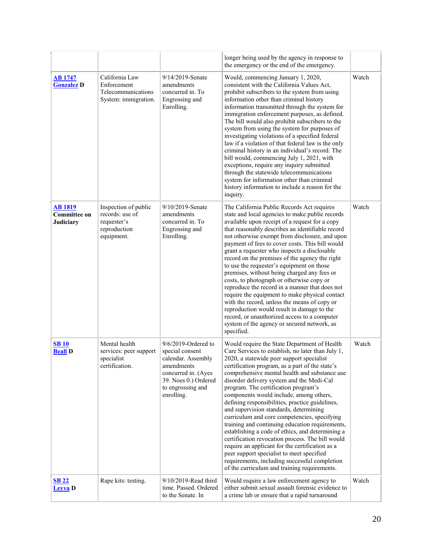|                                                    |                                                                                      |                                                                                                                                                                 | longer being used by the agency in response to<br>the emergency or the end of the emergency.                                                                                                                                                                                                                                                                                                                                                                                                                                                                                                                                                                                                                                                                                                                                                                                                |       |
|----------------------------------------------------|--------------------------------------------------------------------------------------|-----------------------------------------------------------------------------------------------------------------------------------------------------------------|---------------------------------------------------------------------------------------------------------------------------------------------------------------------------------------------------------------------------------------------------------------------------------------------------------------------------------------------------------------------------------------------------------------------------------------------------------------------------------------------------------------------------------------------------------------------------------------------------------------------------------------------------------------------------------------------------------------------------------------------------------------------------------------------------------------------------------------------------------------------------------------------|-------|
| <b>AB</b> 1747<br><b>Gonzalez D</b>                | California Law<br>Enforcement<br>Telecommunications<br>System: immigration.          | 9/14/2019-Senate<br>amendments<br>concurred in. To<br>Engrossing and<br>Enrolling.                                                                              | Would, commencing January 1, 2020,<br>consistent with the California Values Act.<br>prohibit subscribers to the system from using<br>information other than criminal history<br>information transmitted through the system for<br>immigration enforcement purposes, as defined.<br>The bill would also prohibit subscribers to the<br>system from using the system for purposes of<br>investigating violations of a specified federal<br>law if a violation of that federal law is the only<br>criminal history in an individual's record. The<br>bill would, commencing July 1, 2021, with<br>exceptions, require any inquiry submitted<br>through the statewide telecommunications<br>system for information other than criminal<br>history information to include a reason for the<br>inquiry.                                                                                           | Watch |
| AB 1819<br><b>Committee on</b><br><b>Judiciary</b> | Inspection of public<br>records: use of<br>requester's<br>reproduction<br>equipment. | 9/10/2019-Senate<br>amendments<br>concurred in. To<br>Engrossing and<br>Enrolling.                                                                              | The California Public Records Act requires<br>state and local agencies to make public records<br>available upon receipt of a request for a copy<br>that reasonably describes an identifiable record<br>not otherwise exempt from disclosure, and upon<br>payment of fees to cover costs. This bill would<br>grant a requester who inspects a disclosable<br>record on the premises of the agency the right<br>to use the requester's equipment on those<br>premises, without being charged any fees or<br>costs, to photograph or otherwise copy or<br>reproduce the record in a manner that does not<br>require the equipment to make physical contact<br>with the record, unless the means of copy or<br>reproduction would result in damage to the<br>record, or unauthorized access to a computer<br>system of the agency or secured network, as<br>specified.                          | Watch |
| <b>SB10</b><br><b>Beall D</b>                      | Mental health<br>services: peer support<br>specialist<br>certification.              | $9/6/2019$ -Ordered to<br>special consent<br>calendar. Assembly<br>amendments<br>concurred in. (Ayes<br>39. Noes 0.) Ordered<br>to engrossing and<br>enrolling. | Would require the State Department of Health<br>Care Services to establish, no later than July 1,<br>2020, a statewide peer support specialist<br>certification program, as a part of the state's<br>comprehensive mental health and substance use<br>disorder delivery system and the Medi-Cal<br>program. The certification program's<br>components would include, among others,<br>defining responsibilities, practice guidelines,<br>and supervision standards, determining<br>curriculum and core competencies, specifying<br>training and continuing education requirements,<br>establishing a code of ethics, and determining a<br>certification revocation process. The bill would<br>require an applicant for the certification as a<br>peer support specialist to meet specified<br>requirements, including successful completion<br>of the curriculum and training requirements. | Watch |
| <b>SB 22</b><br><b>Levva</b> D                     | Rape kits: testing.                                                                  | 9/10/2019-Read third<br>time. Passed. Ordered<br>to the Senate. In                                                                                              | Would require a law enforcement agency to<br>either submit sexual assault forensic evidence to<br>a crime lab or ensure that a rapid turnaround                                                                                                                                                                                                                                                                                                                                                                                                                                                                                                                                                                                                                                                                                                                                             | Watch |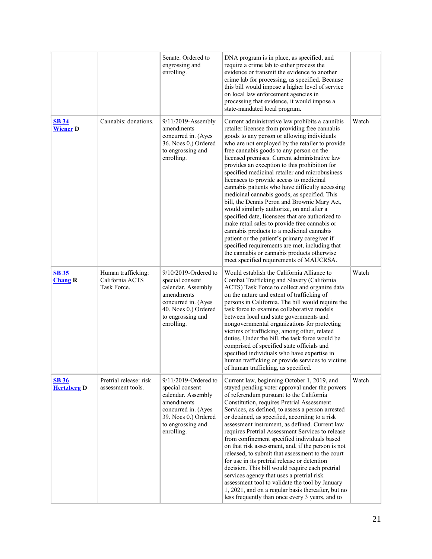|                                    |                                                      | Senate. Ordered to<br>engrossing and<br>enrolling.                                                                                                            | DNA program is in place, as specified, and<br>require a crime lab to either process the<br>evidence or transmit the evidence to another<br>crime lab for processing, as specified. Because<br>this bill would impose a higher level of service<br>on local law enforcement agencies in<br>processing that evidence, it would impose a<br>state-mandated local program.                                                                                                                                                                                                                                                                                                                                                                                                                                                                                                                                                                                                                         |       |
|------------------------------------|------------------------------------------------------|---------------------------------------------------------------------------------------------------------------------------------------------------------------|------------------------------------------------------------------------------------------------------------------------------------------------------------------------------------------------------------------------------------------------------------------------------------------------------------------------------------------------------------------------------------------------------------------------------------------------------------------------------------------------------------------------------------------------------------------------------------------------------------------------------------------------------------------------------------------------------------------------------------------------------------------------------------------------------------------------------------------------------------------------------------------------------------------------------------------------------------------------------------------------|-------|
| <b>SB 34</b><br><b>Wiener D</b>    | Cannabis: donations.                                 | 9/11/2019-Assembly<br>amendments<br>concurred in. (Ayes<br>36. Noes 0.) Ordered<br>to engrossing and<br>enrolling.                                            | Current administrative law prohibits a cannibis<br>retailer licensee from providing free cannabis<br>goods to any person or allowing individuals<br>who are not employed by the retailer to provide<br>free cannabis goods to any person on the<br>licensed premises. Current administrative law<br>provides an exception to this prohibition for<br>specified medicinal retailer and microbusiness<br>licensees to provide access to medicinal<br>cannabis patients who have difficulty accessing<br>medicinal cannabis goods, as specified. This<br>bill, the Dennis Peron and Brownie Mary Act,<br>would similarly authorize, on and after a<br>specified date, licensees that are authorized to<br>make retail sales to provide free cannabis or<br>cannabis products to a medicinal cannabis<br>patient or the patient's primary caregiver if<br>specified requirements are met, including that<br>the cannabis or cannabis products otherwise<br>meet specified requirements of MAUCRSA. | Watch |
| <b>SB 35</b><br><b>Chang R</b>     | Human trafficking:<br>California ACTS<br>Task Force. | 9/10/2019-Ordered to<br>special consent<br>calendar. Assembly<br>amendments<br>concurred in. (Ayes<br>40. Noes 0.) Ordered<br>to engrossing and<br>enrolling. | Would establish the California Alliance to<br>Combat Trafficking and Slavery (California<br>ACTS) Task Force to collect and organize data<br>on the nature and extent of trafficking of<br>persons in California. The bill would require the<br>task force to examine collaborative models<br>between local and state governments and<br>nongovernmental organizations for protecting<br>victims of trafficking, among other, related<br>duties. Under the bill, the task force would be<br>comprised of specified state officials and<br>specified individuals who have expertise in<br>human trafficking or provide services to victims<br>of human trafficking, as specified.                                                                                                                                                                                                                                                                                                               | Watch |
| <b>SB 36</b><br><b>Hertzberg D</b> | Pretrial release: risk<br>assessment tools.          | 9/11/2019-Ordered to<br>special consent<br>calendar. Assembly<br>amendments<br>concurred in. (Ayes<br>39. Noes 0.) Ordered<br>to engrossing and<br>enrolling. | Current law, beginning October 1, 2019, and<br>stayed pending voter approval under the powers<br>of referendum pursuant to the California<br>Constitution, requires Pretrial Assessment<br>Services, as defined, to assess a person arrested<br>or detained, as specified, according to a risk<br>assessment instrument, as defined. Current law<br>requires Pretrial Assessment Services to release<br>from confinement specified individuals based<br>on that risk assessment, and, if the person is not<br>released, to submit that assessment to the court<br>for use in its pretrial release or detention<br>decision. This bill would require each pretrial<br>services agency that uses a pretrial risk<br>assessment tool to validate the tool by January<br>1, 2021, and on a regular basis thereafter, but no<br>less frequently than once every 3 years, and to                                                                                                                     | Watch |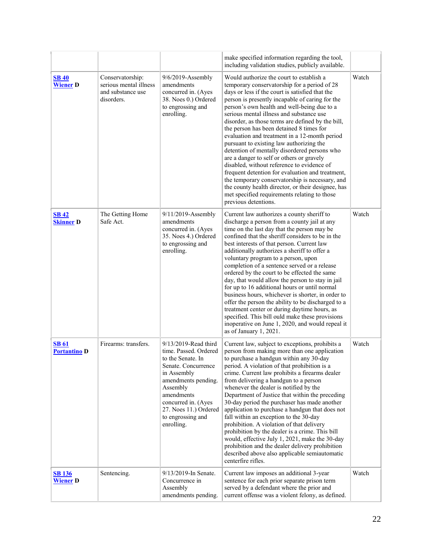|                                     |                                                                               |                                                                                                                                                                                                                                              | make specified information regarding the tool,<br>including validation studies, publicly available.                                                                                                                                                                                                                                                                                                                                                                                                                                                                                                                                                                                                                                                                                                                                                                     |       |
|-------------------------------------|-------------------------------------------------------------------------------|----------------------------------------------------------------------------------------------------------------------------------------------------------------------------------------------------------------------------------------------|-------------------------------------------------------------------------------------------------------------------------------------------------------------------------------------------------------------------------------------------------------------------------------------------------------------------------------------------------------------------------------------------------------------------------------------------------------------------------------------------------------------------------------------------------------------------------------------------------------------------------------------------------------------------------------------------------------------------------------------------------------------------------------------------------------------------------------------------------------------------------|-------|
| <b>SB 40</b><br><b>Wiener D</b>     | Conservatorship:<br>serious mental illness<br>and substance use<br>disorders. | 9/6/2019-Assembly<br>amendments<br>concurred in. (Ayes<br>38. Noes 0.) Ordered<br>to engrossing and<br>enrolling.                                                                                                                            | Would authorize the court to establish a<br>temporary conservatorship for a period of 28<br>days or less if the court is satisfied that the<br>person is presently incapable of caring for the<br>person's own health and well-being due to a<br>serious mental illness and substance use<br>disorder, as those terms are defined by the bill,<br>the person has been detained 8 times for<br>evaluation and treatment in a 12-month period<br>pursuant to existing law authorizing the<br>detention of mentally disordered persons who<br>are a danger to self or others or gravely<br>disabled, without reference to evidence of<br>frequent detention for evaluation and treatment,<br>the temporary conservatorship is necessary, and<br>the county health director, or their designee, has<br>met specified requirements relating to those<br>previous detentions. | Watch |
| $SB$ 42<br><b>Skinner D</b>         | The Getting Home<br>Safe Act.                                                 | $9/11/2019$ -Assembly<br>amendments<br>concurred in. (Ayes<br>35. Noes 4.) Ordered<br>to engrossing and<br>enrolling.                                                                                                                        | Current law authorizes a county sheriff to<br>discharge a person from a county jail at any<br>time on the last day that the person may be<br>confined that the sheriff considers to be in the<br>best interests of that person. Current law<br>additionally authorizes a sheriff to offer a<br>voluntary program to a person, upon<br>completion of a sentence served or a release<br>ordered by the court to be effected the same<br>day, that would allow the person to stay in jail<br>for up to 16 additional hours or until normal<br>business hours, whichever is shorter, in order to<br>offer the person the ability to be discharged to a<br>treatment center or during daytime hours, as<br>specified. This bill ould make these provisions<br>inoperative on June 1, 2020, and would repeal it<br>as of January 1, 2021.                                     | Watch |
| <b>SB 61</b><br><b>Portantino D</b> | Firearms: transfers.                                                          | 9/13/2019-Read third<br>time. Passed. Ordered<br>to the Senate. In<br>Senate. Concurrence<br>in Assembly<br>amendments pending.<br>Assembly<br>amendments<br>concurred in. (Ayes<br>27. Noes 11.) Ordered<br>to engrossing and<br>enrolling. | Current law, subject to exceptions, prohibits a<br>person from making more than one application<br>to purchase a handgun within any 30-day<br>period. A violation of that prohibition is a<br>crime. Current law prohibits a firearms dealer<br>from delivering a handgun to a person<br>whenever the dealer is notified by the<br>Department of Justice that within the preceding<br>30-day period the purchaser has made another<br>application to purchase a handgun that does not<br>fall within an exception to the 30-day<br>prohibition. A violation of that delivery<br>prohibition by the dealer is a crime. This bill<br>would, effective July 1, 2021, make the 30-day<br>prohibition and the dealer delivery prohibition<br>described above also applicable semiautomatic<br>centerfire rifles.                                                             | Watch |
| <b>SB 136</b><br><b>Wiener</b> D    | Sentencing.                                                                   | 9/13/2019-In Senate.<br>Concurrence in<br>Assembly<br>amendments pending.                                                                                                                                                                    | Current law imposes an additional 3-year<br>sentence for each prior separate prison term<br>served by a defendant where the prior and<br>current offense was a violent felony, as defined.                                                                                                                                                                                                                                                                                                                                                                                                                                                                                                                                                                                                                                                                              | Watch |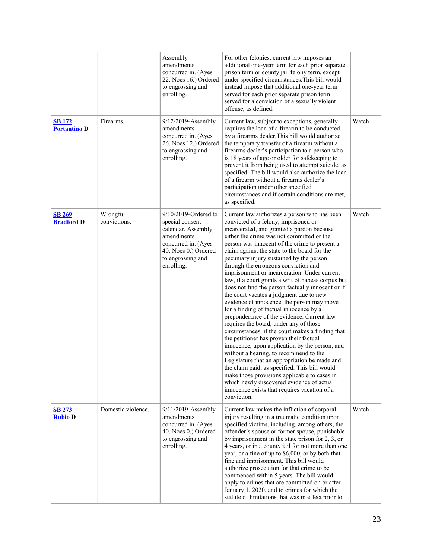|                                      |                          | Assembly<br>amendments<br>concurred in. (Ayes<br>22. Noes 16.) Ordered<br>to engrossing and<br>enrolling.                                                        | For other felonies, current law imposes an<br>additional one-year term for each prior separate<br>prison term or county jail felony term, except<br>under specified circumstances. This bill would<br>instead impose that additional one-year term<br>served for each prior separate prison term<br>served for a conviction of a sexually violent<br>offense, as defined.                                                                                                                                                                                                                                                                                                                                                                                                                                                                                                                                                                                                                                                                                                                                                                                                                                            |       |
|--------------------------------------|--------------------------|------------------------------------------------------------------------------------------------------------------------------------------------------------------|----------------------------------------------------------------------------------------------------------------------------------------------------------------------------------------------------------------------------------------------------------------------------------------------------------------------------------------------------------------------------------------------------------------------------------------------------------------------------------------------------------------------------------------------------------------------------------------------------------------------------------------------------------------------------------------------------------------------------------------------------------------------------------------------------------------------------------------------------------------------------------------------------------------------------------------------------------------------------------------------------------------------------------------------------------------------------------------------------------------------------------------------------------------------------------------------------------------------|-------|
| <b>SB 172</b><br><b>Portantino D</b> | Firearms.                | 9/12/2019-Assembly<br>amendments<br>concurred in. (Ayes<br>26. Noes 12.) Ordered<br>to engrossing and<br>enrolling.                                              | Current law, subject to exceptions, generally<br>requires the loan of a firearm to be conducted<br>by a firearms dealer. This bill would authorize<br>the temporary transfer of a firearm without a<br>firearms dealer's participation to a person who<br>is 18 years of age or older for safekeeping to<br>prevent it from being used to attempt suicide, as<br>specified. The bill would also authorize the loan<br>of a firearm without a firearms dealer's<br>participation under other specified<br>circumstances and if certain conditions are met,<br>as specified.                                                                                                                                                                                                                                                                                                                                                                                                                                                                                                                                                                                                                                           | Watch |
| <b>SB 269</b><br><b>Bradford D</b>   | Wrongful<br>convictions. | $9/10/2019$ -Ordered to<br>special consent<br>calendar. Assembly<br>amendments<br>concurred in. (Ayes<br>40. Noes 0.) Ordered<br>to engrossing and<br>enrolling. | Current law authorizes a person who has been<br>convicted of a felony, imprisoned or<br>incarcerated, and granted a pardon because<br>either the crime was not committed or the<br>person was innocent of the crime to present a<br>claim against the state to the board for the<br>pecuniary injury sustained by the person<br>through the erroneous conviction and<br>imprisonment or incarceration. Under current<br>law, if a court grants a writ of habeas corpus but<br>does not find the person factually innocent or if<br>the court vacates a judgment due to new<br>evidence of innocence, the person may move<br>for a finding of factual innocence by a<br>preponderance of the evidence. Current law<br>requires the board, under any of those<br>circumstances, if the court makes a finding that<br>the petitioner has proven their factual<br>innocence, upon application by the person, and<br>without a hearing, to recommend to the<br>Legislature that an appropriation be made and<br>the claim paid, as specified. This bill would<br>make those provisions applicable to cases in<br>which newly discovered evidence of actual<br>innocence exists that requires vacation of a<br>conviction. | Watch |
| <b>SB 273</b><br><b>Rubio D</b>      | Domestic violence.       | 9/11/2019-Assembly<br>amendments<br>concurred in. (Ayes<br>40. Noes 0.) Ordered<br>to engrossing and<br>enrolling.                                               | Current law makes the infliction of corporal<br>injury resulting in a traumatic condition upon<br>specified victims, including, among others, the<br>offender's spouse or former spouse, punishable<br>by imprisonment in the state prison for $2, 3$ , or<br>4 years, or in a county jail for not more than one<br>year, or a fine of up to \$6,000, or by both that<br>fine and imprisonment. This bill would<br>authorize prosecution for that crime to be<br>commenced within 5 years. The bill would<br>apply to crimes that are committed on or after<br>January 1, 2020, and to crimes for which the<br>statute of limitations that was in effect prior to                                                                                                                                                                                                                                                                                                                                                                                                                                                                                                                                                    | Watch |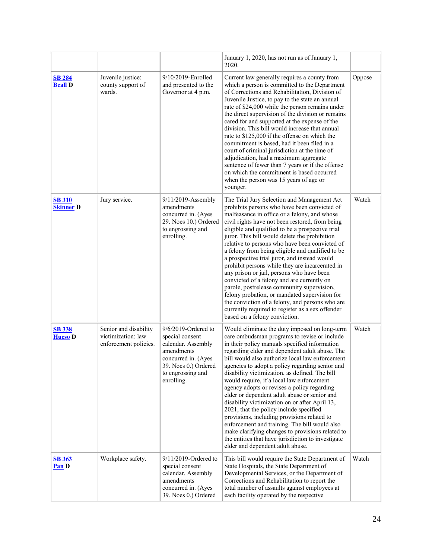|                                   |                                                                      |                                                                                                                                                                 | January 1, 2020, has not run as of January 1,<br>2020.                                                                                                                                                                                                                                                                                                                                                                                                                                                                                                                                                                                                                                                                                                                                                                                          |        |
|-----------------------------------|----------------------------------------------------------------------|-----------------------------------------------------------------------------------------------------------------------------------------------------------------|-------------------------------------------------------------------------------------------------------------------------------------------------------------------------------------------------------------------------------------------------------------------------------------------------------------------------------------------------------------------------------------------------------------------------------------------------------------------------------------------------------------------------------------------------------------------------------------------------------------------------------------------------------------------------------------------------------------------------------------------------------------------------------------------------------------------------------------------------|--------|
| <b>SB 284</b><br><b>Beall D</b>   | Juvenile justice:<br>county support of<br>wards.                     | 9/10/2019-Enrolled<br>and presented to the<br>Governor at 4 p.m.                                                                                                | Current law generally requires a county from<br>which a person is committed to the Department<br>of Corrections and Rehabilitation, Division of<br>Juvenile Justice, to pay to the state an annual<br>rate of \$24,000 while the person remains under<br>the direct supervision of the division or remains<br>cared for and supported at the expense of the<br>division. This bill would increase that annual<br>rate to \$125,000 if the offense on which the<br>commitment is based, had it been filed in a<br>court of criminal jurisdiction at the time of<br>adjudication, had a maximum aggregate<br>sentence of fewer than 7 years or if the offense<br>on which the commitment is based occurred<br>when the person was 15 years of age or<br>younger.                                                                                  | Oppose |
| <b>SB 310</b><br><b>Skinner</b> D | Jury service.                                                        | $9/11/2019$ -Assembly<br>amendments<br>concurred in. (Ayes<br>29. Noes 10.) Ordered<br>to engrossing and<br>enrolling.                                          | The Trial Jury Selection and Management Act<br>prohibits persons who have been convicted of<br>malfeasance in office or a felony, and whose<br>civil rights have not been restored, from being<br>eligible and qualified to be a prospective trial<br>juror. This bill would delete the prohibition<br>relative to persons who have been convicted of<br>a felony from being eligible and qualified to be<br>a prospective trial juror, and instead would<br>prohibit persons while they are incarcerated in<br>any prison or jail, persons who have been<br>convicted of a felony and are currently on<br>parole, postrelease community supervision,<br>felony probation, or mandated supervision for<br>the conviction of a felony, and persons who are<br>currently required to register as a sex offender<br>based on a felony conviction.  | Watch  |
| <b>SB 338</b><br><b>Hueso</b> D   | Senior and disability<br>victimization: law<br>enforcement policies. | $9/6/2019$ -Ordered to<br>special consent<br>calendar. Assembly<br>amendments<br>concurred in. (Ayes<br>39. Noes 0.) Ordered<br>to engrossing and<br>enrolling. | Would eliminate the duty imposed on long-term<br>care ombudsman programs to revise or include<br>in their policy manuals specified information<br>regarding elder and dependent adult abuse. The<br>bill would also authorize local law enforcement<br>agencies to adopt a policy regarding senior and<br>disability victimization, as defined. The bill<br>would require, if a local law enforcement<br>agency adopts or revises a policy regarding<br>elder or dependent adult abuse or senior and<br>disability victimization on or after April 13,<br>2021, that the policy include specified<br>provisions, including provisions related to<br>enforcement and training. The bill would also<br>make clarifying changes to provisions related to<br>the entities that have jurisdiction to investigate<br>elder and dependent adult abuse. | Watch  |
| <b>SB 363</b><br>Pan D            | Workplace safety.                                                    | 9/11/2019-Ordered to<br>special consent<br>calendar. Assembly<br>amendments<br>concurred in. (Ayes<br>39. Noes 0.) Ordered                                      | This bill would require the State Department of<br>State Hospitals, the State Department of<br>Developmental Services, or the Department of<br>Corrections and Rehabilitation to report the<br>total number of assaults against employees at<br>each facility operated by the respective                                                                                                                                                                                                                                                                                                                                                                                                                                                                                                                                                        | Watch  |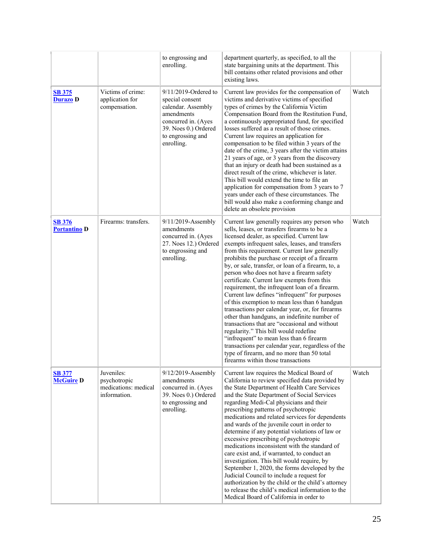|                                      |                                                                    | to engrossing and<br>enrolling.                                                                                                                               | department quarterly, as specified, to all the<br>state bargaining units at the department. This<br>bill contains other related provisions and other<br>existing laws.                                                                                                                                                                                                                                                                                                                                                                                                                                                                                                                                                                                                                                                                                                                                                                                                                   |       |
|--------------------------------------|--------------------------------------------------------------------|---------------------------------------------------------------------------------------------------------------------------------------------------------------|------------------------------------------------------------------------------------------------------------------------------------------------------------------------------------------------------------------------------------------------------------------------------------------------------------------------------------------------------------------------------------------------------------------------------------------------------------------------------------------------------------------------------------------------------------------------------------------------------------------------------------------------------------------------------------------------------------------------------------------------------------------------------------------------------------------------------------------------------------------------------------------------------------------------------------------------------------------------------------------|-------|
| <b>SB 375</b><br><b>Durazo D</b>     | Victims of crime:<br>application for<br>compensation.              | 9/11/2019-Ordered to<br>special consent<br>calendar. Assembly<br>amendments<br>concurred in. (Ayes<br>39. Noes 0.) Ordered<br>to engrossing and<br>enrolling. | Current law provides for the compensation of<br>victims and derivative victims of specified<br>types of crimes by the California Victim<br>Compensation Board from the Restitution Fund,<br>a continuously appropriated fund, for specified<br>losses suffered as a result of those crimes.<br>Current law requires an application for<br>compensation to be filed within 3 years of the<br>date of the crime, 3 years after the victim attains<br>21 years of age, or 3 years from the discovery<br>that an injury or death had been sustained as a<br>direct result of the crime, whichever is later.<br>This bill would extend the time to file an<br>application for compensation from 3 years to 7<br>years under each of these circumstances. The<br>bill would also make a conforming change and<br>delete an obsolete provision                                                                                                                                                  | Watch |
| <b>SB 376</b><br><b>Portantino D</b> | Firearms: transfers.                                               | 9/11/2019-Assembly<br>amendments<br>concurred in. (Ayes<br>27. Noes 12.) Ordered<br>to engrossing and<br>enrolling.                                           | Current law generally requires any person who<br>sells, leases, or transfers firearms to be a<br>licensed dealer, as specified. Current law<br>exempts infrequent sales, leases, and transfers<br>from this requirement. Current law generally<br>prohibits the purchase or receipt of a firearm<br>by, or sale, transfer, or loan of a firearm, to, a<br>person who does not have a firearm safety<br>certificate. Current law exempts from this<br>requirement, the infrequent loan of a firearm.<br>Current law defines "infrequent" for purposes<br>of this exemption to mean less than 6 handgun<br>transactions per calendar year, or, for firearms<br>other than handguns, an indefinite number of<br>transactions that are "occasional and without<br>regularity." This bill would redefine<br>"infrequent" to mean less than 6 firearm<br>transactions per calendar year, regardless of the<br>type of firearm, and no more than 50 total<br>firearms within those transactions | Watch |
| <b>SB 377</b><br><b>McGuire D</b>    | Juveniles:<br>psychotropic<br>medications: medical<br>information. | 9/12/2019-Assembly<br>amendments<br>concurred in. (Ayes<br>39. Noes 0.) Ordered<br>to engrossing and<br>enrolling.                                            | Current law requires the Medical Board of<br>California to review specified data provided by<br>the State Department of Health Care Services<br>and the State Department of Social Services<br>regarding Medi-Cal physicians and their<br>prescribing patterns of psychotropic<br>medications and related services for dependents<br>and wards of the juvenile court in order to<br>determine if any potential violations of law or<br>excessive prescribing of psychotropic<br>medications inconsistent with the standard of<br>care exist and, if warranted, to conduct an<br>investigation. This bill would require, by<br>September 1, 2020, the forms developed by the<br>Judicial Council to include a request for<br>authorization by the child or the child's attorney<br>to release the child's medical information to the<br>Medical Board of California in order to                                                                                                           | Watch |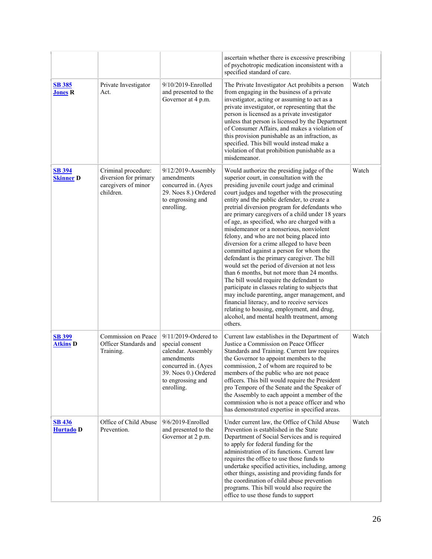|                                   |                                                                                  |                                                                                                                                                                  | ascertain whether there is excessive prescribing<br>of psychotropic medication inconsistent with a<br>specified standard of care.                                                                                                                                                                                                                                                                                                                                                                                                                                                                                                                                                                                                                                                                                                                                                                                                                                                                                                  |       |
|-----------------------------------|----------------------------------------------------------------------------------|------------------------------------------------------------------------------------------------------------------------------------------------------------------|------------------------------------------------------------------------------------------------------------------------------------------------------------------------------------------------------------------------------------------------------------------------------------------------------------------------------------------------------------------------------------------------------------------------------------------------------------------------------------------------------------------------------------------------------------------------------------------------------------------------------------------------------------------------------------------------------------------------------------------------------------------------------------------------------------------------------------------------------------------------------------------------------------------------------------------------------------------------------------------------------------------------------------|-------|
| <b>SB 385</b><br><b>Jones R</b>   | Private Investigator<br>Act.                                                     | 9/10/2019-Enrolled<br>and presented to the<br>Governor at 4 p.m.                                                                                                 | The Private Investigator Act prohibits a person<br>from engaging in the business of a private<br>investigator, acting or assuming to act as a<br>private investigator, or representing that the<br>person is licensed as a private investigator<br>unless that person is licensed by the Department<br>of Consumer Affairs, and makes a violation of<br>this provision punishable as an infraction, as<br>specified. This bill would instead make a<br>violation of that prohibition punishable as a<br>misdemeanor.                                                                                                                                                                                                                                                                                                                                                                                                                                                                                                               | Watch |
| <b>SB 394</b><br><b>Skinner D</b> | Criminal procedure:<br>diversion for primary<br>caregivers of minor<br>children. | $9/12/2019$ -Assembly<br>amendments<br>concurred in. (Ayes<br>29. Noes 8.) Ordered<br>to engrossing and<br>enrolling.                                            | Would authorize the presiding judge of the<br>superior court, in consultation with the<br>presiding juvenile court judge and criminal<br>court judges and together with the prosecuting<br>entity and the public defender, to create a<br>pretrial diversion program for defendants who<br>are primary caregivers of a child under 18 years<br>of age, as specified, who are charged with a<br>misdemeanor or a nonserious, nonviolent<br>felony, and who are not being placed into<br>diversion for a crime alleged to have been<br>committed against a person for whom the<br>defendant is the primary caregiver. The bill<br>would set the period of diversion at not less<br>than 6 months, but not more than 24 months.<br>The bill would require the defendant to<br>participate in classes relating to subjects that<br>may include parenting, anger management, and<br>financial literacy, and to receive services<br>relating to housing, employment, and drug,<br>alcohol, and mental health treatment, among<br>others. | Watch |
| <b>SB 399</b><br><b>Atkins D</b>  | Commission on Peace<br>Officer Standards and<br>Training.                        | $9/11/2019$ -Ordered to<br>special consent<br>calendar. Assembly<br>amendments<br>concurred in. (Ayes<br>39. Noes 0.) Ordered<br>to engrossing and<br>enrolling. | Current law establishes in the Department of<br>Justice a Commission on Peace Officer<br>Standards and Training. Current law requires<br>the Governor to appoint members to the<br>commission, 2 of whom are required to be<br>members of the public who are not peace<br>officers. This bill would require the President<br>pro Tempore of the Senate and the Speaker of<br>the Assembly to each appoint a member of the<br>commission who is not a peace officer and who<br>has demonstrated expertise in specified areas.                                                                                                                                                                                                                                                                                                                                                                                                                                                                                                       | Watch |
| <b>SB 436</b><br><b>Hurtado</b> D | Office of Child Abuse<br>Prevention.                                             | 9/6/2019-Enrolled<br>and presented to the<br>Governor at 2 p.m.                                                                                                  | Under current law, the Office of Child Abuse<br>Prevention is established in the State<br>Department of Social Services and is required<br>to apply for federal funding for the<br>administration of its functions. Current law<br>requires the office to use those funds to<br>undertake specified activities, including, among<br>other things, assisting and providing funds for<br>the coordination of child abuse prevention<br>programs. This bill would also require the<br>office to use those funds to support                                                                                                                                                                                                                                                                                                                                                                                                                                                                                                            | Watch |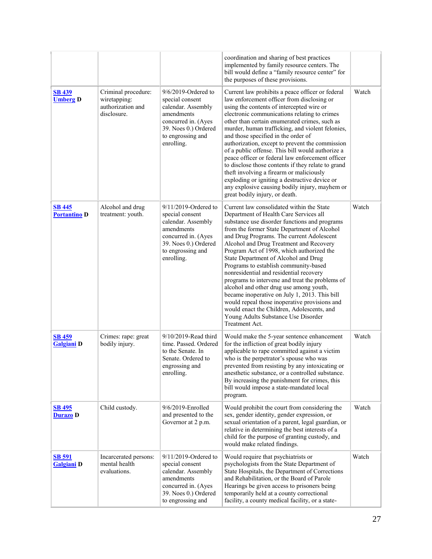|                                      |                                                                         |                                                                                                                                                                 | coordination and sharing of best practices<br>implemented by family resource centers. The<br>bill would define a "family resource center" for<br>the purposes of these provisions.                                                                                                                                                                                                                                                                                                                                                                                                                                                                                                                                                                          |       |
|--------------------------------------|-------------------------------------------------------------------------|-----------------------------------------------------------------------------------------------------------------------------------------------------------------|-------------------------------------------------------------------------------------------------------------------------------------------------------------------------------------------------------------------------------------------------------------------------------------------------------------------------------------------------------------------------------------------------------------------------------------------------------------------------------------------------------------------------------------------------------------------------------------------------------------------------------------------------------------------------------------------------------------------------------------------------------------|-------|
| <b>SB 439</b><br><b>Umberg D</b>     | Criminal procedure:<br>wiretapping:<br>authorization and<br>disclosure. | $9/6/2019$ -Ordered to<br>special consent<br>calendar. Assembly<br>amendments<br>concurred in. (Ayes<br>39. Noes 0.) Ordered<br>to engrossing and<br>enrolling. | Current law prohibits a peace officer or federal<br>law enforcement officer from disclosing or<br>using the contents of intercepted wire or<br>electronic communications relating to crimes<br>other than certain enumerated crimes, such as<br>murder, human trafficking, and violent felonies,<br>and those specified in the order of<br>authorization, except to prevent the commission<br>of a public offense. This bill would authorize a<br>peace officer or federal law enforcement officer<br>to disclose those contents if they relate to grand<br>theft involving a firearm or maliciously<br>exploding or igniting a destructive device or<br>any explosive causing bodily injury, mayhem or<br>great bodily injury, or death.                   | Watch |
| <b>SB 445</b><br><b>Portantino D</b> | Alcohol and drug<br>treatment: youth.                                   | 9/11/2019-Ordered to<br>special consent<br>calendar. Assembly<br>amendments<br>concurred in. (Ayes<br>39. Noes 0.) Ordered<br>to engrossing and<br>enrolling.   | Current law consolidated within the State<br>Department of Health Care Services all<br>substance use disorder functions and programs<br>from the former State Department of Alcohol<br>and Drug Programs. The current Adolescent<br>Alcohol and Drug Treatment and Recovery<br>Program Act of 1998, which authorized the<br>State Department of Alcohol and Drug<br>Programs to establish community-based<br>nonresidential and residential recovery<br>programs to intervene and treat the problems of<br>alcohol and other drug use among youth,<br>became inoperative on July 1, 2013. This bill<br>would repeal those inoperative provisions and<br>would enact the Children, Adolescents, and<br>Young Adults Substance Use Disorder<br>Treatment Act. | Watch |
| <b>SB 459</b><br>Galgiani D          | Crimes: rape: great<br>bodily injury.                                   | 9/10/2019-Read third<br>time. Passed. Ordered<br>to the Senate. In<br>Senate. Ordered to<br>engrossing and<br>enrolling.                                        | Would make the 5-year sentence enhancement<br>for the infliction of great bodily injury<br>applicable to rape committed against a victim<br>who is the perpetrator's spouse who was<br>prevented from resisting by any intoxicating or<br>anesthetic substance, or a controlled substance.<br>By increasing the punishment for crimes, this<br>bill would impose a state-mandated local<br>program.                                                                                                                                                                                                                                                                                                                                                         | Watch |
| <b>SB 495</b><br><b>Durazo</b> D     | Child custody.                                                          | 9/6/2019-Enrolled<br>and presented to the<br>Governor at 2 p.m.                                                                                                 | Would prohibit the court from considering the<br>sex, gender identity, gender expression, or<br>sexual orientation of a parent, legal guardian, or<br>relative in determining the best interests of a<br>child for the purpose of granting custody, and<br>would make related findings.                                                                                                                                                                                                                                                                                                                                                                                                                                                                     | Watch |
| <b>SB 591</b><br><b>Galgiani</b> D   | Incarcerated persons:<br>mental health<br>evaluations.                  | 9/11/2019-Ordered to<br>special consent<br>calendar. Assembly<br>amendments<br>concurred in. (Ayes<br>39. Noes 0.) Ordered<br>to engrossing and                 | Would require that psychiatrists or<br>psychologists from the State Department of<br>State Hospitals, the Department of Corrections<br>and Rehabilitation, or the Board of Parole<br>Hearings be given access to prisoners being<br>temporarily held at a county correctional<br>facility, a county medical facility, or a state-                                                                                                                                                                                                                                                                                                                                                                                                                           | Watch |